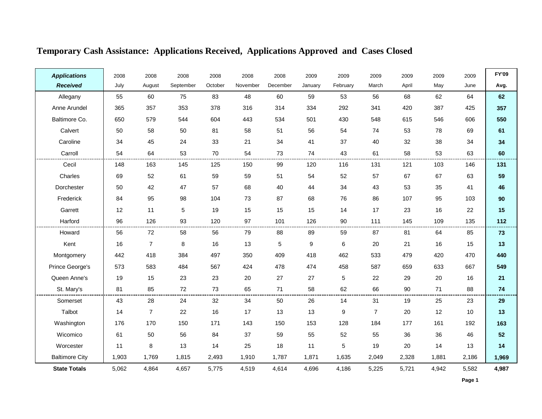| <b>Applications</b>   | 2008  | 2008           | 2008      | 2008    | 2008     | 2008     | 2009    | 2009     | 2009           | 2009  | 2009  | 2009  | <b>FY'09</b> |
|-----------------------|-------|----------------|-----------|---------|----------|----------|---------|----------|----------------|-------|-------|-------|--------------|
| <b>Received</b>       | July  | August         | September | October | November | December | January | February | March          | April | May   | June  | Avg.         |
| Allegany              | 55    | 60             | 75        | 83      | 48       | 60       | 59      | 53       | 56             | 68    | 62    | 64    | 62           |
| Anne Arundel          | 365   | 357            | 353       | 378     | 316      | 314      | 334     | 292      | 341            | 420   | 387   | 425   | 357          |
| Baltimore Co.         | 650   | 579            | 544       | 604     | 443      | 534      | 501     | 430      | 548            | 615   | 546   | 606   | 550          |
| Calvert               | 50    | 58             | 50        | 81      | 58       | 51       | 56      | 54       | 74             | 53    | 78    | 69    | 61           |
| Caroline              | 34    | 45             | 24        | 33      | 21       | 34       | 41      | 37       | 40             | 32    | 38    | 34    | 34           |
| Carroll               | 54    | 64             | 53        | 70      | 54       | 73       | 74      | 43       | 61             | 58    | 53    | 63    | 60           |
| Cecil                 | 148   | 163            | 145       | 125     | 150      | 99       | 120     | 116      | 131            | 121   | 103   | 146   | 131          |
| Charles               | 69    | 52             | 61        | 59      | 59       | 51       | 54      | 52       | 57             | 67    | 67    | 63    | 59           |
| Dorchester            | 50    | 42             | 47        | 57      | 68       | 40       | 44      | 34       | 43             | 53    | 35    | 41    | 46           |
| Frederick             | 84    | 95             | 98        | 104     | 73       | 87       | 68      | 76       | 86             | 107   | 95    | 103   | 90           |
| Garrett               | 12    | 11             | 5         | 19      | 15       | 15       | 15      | 14       | 17             | 23    | 16    | 22    | 15           |
| Harford               | 96    | 126            | 93        | 120     | 97       | 101      | 126     | 90       | 111            | 145   | 109   | 135   | 112          |
| Howard                | 56    | 72             | 58        | 56      | 79       | 88       | 89      | 59       | 87             | 81    | 64    | 85    | 73           |
| Kent                  | 16    | $\overline{7}$ | $\bf 8$   | 16      | 13       | 5        | 9       | 6        | 20             | 21    | 16    | 15    | 13           |
| Montgomery            | 442   | 418            | 384       | 497     | 350      | 409      | 418     | 462      | 533            | 479   | 420   | 470   | 440          |
| Prince George's       | 573   | 583            | 484       | 567     | 424      | 478      | 474     | 458      | 587            | 659   | 633   | 667   | 549          |
| Queen Anne's          | 19    | 15             | 23        | 23      | 20       | 27       | 27      | 5        | 22             | 29    | 20    | 16    | 21           |
| St. Mary's            | 81    | 85             | 72        | 73      | 65       | 71       | 58      | 62       | 66             | 90    | 71    | 88    | 74           |
| Somerset              | 43    | 28             | 24        | 32      | 34       | 50       | 26      | 14       | 31             | 19    | 25    | 23    | 29           |
| Talbot                | 14    | $\overline{7}$ | 22        | 16      | 17       | 13       | 13      | 9        | $\overline{7}$ | 20    | 12    | 10    | 13           |
| Washington            | 176   | 170            | 150       | 171     | 143      | 150      | 153     | 128      | 184            | 177   | 161   | 192   | 163          |
| Wicomico              | 61    | 50             | 56        | 84      | 37       | 59       | 55      | 52       | 55             | 36    | 36    | 46    | 52           |
| Worcester             | 11    | $\bf 8$        | 13        | 14      | 25       | 18       | 11      | 5        | 19             | 20    | 14    | 13    | 14           |
| <b>Baltimore City</b> | 1,903 | 1,769          | 1,815     | 2,493   | 1,910    | 1,787    | 1,871   | 1,635    | 2,049          | 2,328 | 1,881 | 2,186 | 1,969        |
| <b>State Totals</b>   | 5,062 | 4,864          | 4,657     | 5,775   | 4,519    | 4,614    | 4,696   | 4,186    | 5,225          | 5,721 | 4,942 | 5,582 | 4,987        |

### **Temporary Cash Assistance: Applications Received, Applications Approved and Cases Closed**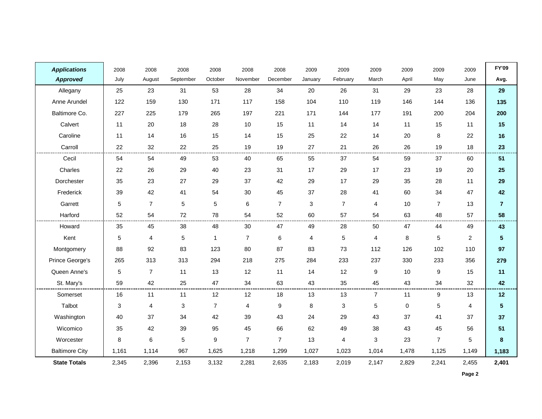| <b>Applications</b>   | 2008       | 2008           | 2008      | 2008           | 2008           | 2008           | 2009         | 2009           | 2009           | 2009        | 2009           | 2009           | <b>FY'09</b>    |
|-----------------------|------------|----------------|-----------|----------------|----------------|----------------|--------------|----------------|----------------|-------------|----------------|----------------|-----------------|
| <b>Approved</b>       | July       | August         | September | October        | November       | December       | January      | February       | March          | April       | May            | June           | Avg.            |
| Allegany              | 25         | 23             | 31        | 53             | 28             | 34             | 20           | 26             | 31             | 29          | 23             | 28             | 29              |
| Anne Arundel          | 122        | 159            | 130       | 171            | 117            | 158            | 104          | 110            | 119            | 146         | 144            | 136            | 135             |
| Baltimore Co.         | 227        | 225            | 179       | 265            | 197            | 221            | 171          | 144            | 177            | 191         | 200            | 204            | 200             |
| Calvert               | 11         | 20             | 18        | 28             | 10             | 15             | 11           | 14             | 14             | 11          | 15             | 11             | 15              |
| Caroline              | 11         | 14             | 16        | 15             | 14             | 15             | 25           | 22             | 14             | 20          | 8              | 22             | 16              |
| Carroll               | 22         | 32             | 22        | 25             | 19             | 19             | 27           | 21             | 26             | 26          | 19             | 18             | 23              |
| Cecil                 | 54         | 54             | 49        | 53             | 40             | 65             | 55           | 37             | 54             | 59          | 37             | 60             | 51              |
| Charles               | 22         | 26             | 29        | 40             | 23             | 31             | 17           | 29             | 17             | 23          | 19             | 20             | 25              |
| Dorchester            | 35         | 23             | 27        | 29             | 37             | 42             | 29           | 17             | 29             | 35          | 28             | 11             | 29              |
| Frederick             | 39         | 42             | 41        | 54             | 30             | 45             | 37           | 28             | 41             | 60          | 34             | 47             | 42              |
| Garrett               | 5          | $\overline{7}$ | 5         | 5              | $\,6\,$        | $\overline{7}$ | $\mathbf{3}$ | $\overline{7}$ | $\overline{4}$ | 10          | $\overline{7}$ | 13             | $\overline{7}$  |
| Harford               | 52         | 54             | 72        | 78             | 54             | 52             | 60           | 57             | 54             | 63          | 48             | 57             | 58              |
| Howard                | 35         | 45             | 38        | 48             | 30             | 47             | 49           | 28             | 50             | 47          | 44             | 49             | 43              |
| Kent                  | $\sqrt{5}$ | 4              | 5         | 1              | $\overline{7}$ | $\,6$          | 4            | $\sqrt{5}$     | 4              | 8           | 5              | $\overline{2}$ | $5\phantom{.0}$ |
| Montgomery            | 88         | 92             | 83        | 123            | 80             | 87             | 83           | 73             | 112            | 126         | 102            | 110            | 97              |
| Prince George's       | 265        | 313            | 313       | 294            | 218            | 275            | 284          | 233            | 237            | 330         | 233            | 356            | 279             |
| Queen Anne's          | 5          | $\overline{7}$ | 11        | 13             | 12             | 11             | 14           | 12             | 9              | 10          | 9              | 15             | 11              |
| St. Mary's            | 59         | 42             | 25        | 47             | 34             | 63             | 43           | 35             | 45             | 43          | 34             | 32             | 42              |
| Somerset              | 16         | 11             | 11        | 12             | 12             | 18             | 13           | 13             | $\overline{7}$ | 11          | 9              | 13             | 12              |
| Talbot                | 3          | 4              | 3         | $\overline{7}$ | 4              | 9              | 8            | 3              | $\sqrt{5}$     | $\mathbf 0$ | 5              | 4              | 5 <sup>5</sup>  |
| Washington            | 40         | 37             | 34        | 42             | 39             | 43             | 24           | 29             | 43             | 37          | 41             | 37             | 37              |
| Wicomico              | 35         | 42             | 39        | 95             | 45             | 66             | 62           | 49             | 38             | 43          | 45             | 56             | 51              |
| Worcester             | 8          | 6              | 5         | 9              | $\overline{7}$ | $\overline{7}$ | 13           | 4              | $\mathbf{3}$   | 23          | $\overline{7}$ | $\overline{5}$ | $\pmb{8}$       |
| <b>Baltimore City</b> | 1,161      | 1,114          | 967       | 1,625          | 1,218          | 1,299          | 1,027        | 1,023          | 1,014          | 1,478       | 1,125          | 1,149          | 1,183           |
| <b>State Totals</b>   | 2,345      | 2,396          | 2,153     | 3,132          | 2,281          | 2,635          | 2,183        | 2,019          | 2,147          | 2,829       | 2,241          | 2,455          | 2,401           |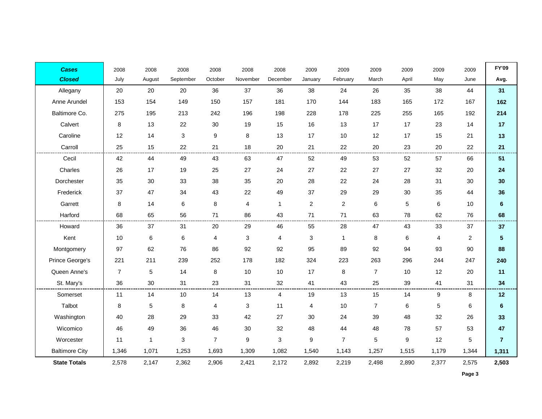| <b>Cases</b>          | 2008           | 2008         | 2008         | 2008           | 2008       | 2008           | 2009           | 2009           | 2009           | 2009  | 2009                    | 2009           | <b>FY'09</b>   |
|-----------------------|----------------|--------------|--------------|----------------|------------|----------------|----------------|----------------|----------------|-------|-------------------------|----------------|----------------|
| <b>Closed</b>         | July           | August       | September    | October        | November   | December       | January        | February       | March          | April | May                     | June           | Avg.           |
| Allegany              | 20             | 20           | 20           | 36             | 37         | 36             | 38             | 24             | 26             | 35    | 38                      | 44             | 31             |
| Anne Arundel          | 153            | 154          | 149          | 150            | 157        | 181            | 170            | 144            | 183            | 165   | 172                     | 167            | 162            |
| Baltimore Co.         | 275            | 195          | 213          | 242            | 196        | 198            | 228            | 178            | 225            | 255   | 165                     | 192            | 214            |
| Calvert               | 8              | 13           | 22           | 30             | 19         | 15             | 16             | 13             | 17             | 17    | 23                      | 14             | 17             |
| Caroline              | 12             | 14           | $\sqrt{3}$   | 9              | $\bf 8$    | 13             | 17             | 10             | 12             | 17    | 15                      | 21             | 13             |
| Carroll               | 25             | 15           | 22           | 21             | 18         | 20             | 21             | 22             | 20             | 23    | 20                      | 22             | 21             |
| Cecil                 | 42             | 44           | 49           | 43             | 63         | 47             | 52             | 49             | 53             | 52    | 57                      | 66             | 51             |
| Charles               | 26             | 17           | 19           | 25             | 27         | 24             | 27             | 22             | 27             | 27    | 32                      | 20             | 24             |
| Dorchester            | 35             | 30           | 33           | 38             | 35         | 20             | 28             | 22             | 24             | 28    | 31                      | 30             | 30             |
| Frederick             | 37             | 47           | 34           | 43             | 22         | 49             | 37             | 29             | 29             | 30    | 35                      | 44             | 36             |
| Garrett               | 8              | 14           | 6            | 8              | 4          | $\mathbf{1}$   | $\overline{2}$ | 2              | 6              | 5     | 6                       | 10             | $6\phantom{a}$ |
| Harford               | 68             | 65           | 56           | 71             | 86         | 43             | 71             | 71             | 63             | 78    | 62                      | 76             | 68             |
| Howard                | 36             | 37           | 31           | 20             | 29         | 46             | 55             | 28             | 47             | 43    | 33                      | 37             | 37             |
| Kent                  | 10             | 6            | 6            | 4              | $\sqrt{3}$ | $\overline{4}$ | $\mathbf{3}$   | $\overline{1}$ | $\bf 8$        | 6     | $\overline{\mathbf{4}}$ | $\overline{c}$ | 5              |
| Montgomery            | 97             | 62           | 76           | 86             | 92         | 92             | 95             | 89             | 92             | 94    | 93                      | 90             | 88             |
| Prince George's       | 221            | 211          | 239          | 252            | 178        | 182            | 324            | 223            | 263            | 296   | 244                     | 247            | 240            |
| Queen Anne's          | $\overline{7}$ | 5            | 14           | 8              | 10         | 10             | 17             | 8              | $\overline{7}$ | 10    | 12                      | 20             | 11             |
| St. Mary's            | 36             | 30           | 31           | 23             | 31         | 32             | 41             | 43             | 25             | 39    | 41                      | 31             | 34             |
| Somerset              | 11             | 14           | 10           | 14             | 13         | 4              | 19             | 13             | 15             | 14    | 9                       | 8              | 12             |
| Talbot                | 8              | 5            | 8            | 4              | $\sqrt{3}$ | 11             | 4              | 10             | $\overline{7}$ | $\,6$ | 5                       | 6              | $\bf 6$        |
| Washington            | 40             | 28           | 29           | 33             | 42         | 27             | 30             | 24             | 39             | 48    | 32                      | 26             | 33             |
| Wicomico              | 46             | 49           | 36           | 46             | 30         | 32             | 48             | 44             | 48             | 78    | 57                      | 53             | 47             |
| Worcester             | 11             | $\mathbf{1}$ | $\mathbf{3}$ | $\overline{7}$ | $9\,$      | 3              | 9              | $\overline{7}$ | $\sqrt{5}$     | 9     | 12                      | 5              | $\overline{7}$ |
| <b>Baltimore City</b> | 1,346          | 1,071        | 1,253        | 1,693          | 1,309      | 1,082          | 1,540          | 1,143          | 1,257          | 1,515 | 1,179                   | 1,344          | 1,311          |
| <b>State Totals</b>   | 2,578          | 2,147        | 2,362        | 2,906          | 2,421      | 2,172          | 2,892          | 2,219          | 2,498          | 2,890 | 2,377                   | 2,575          | 2,503          |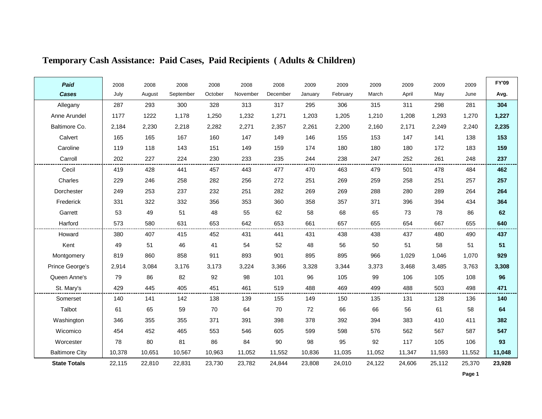| Paid                  | 2008   | 2008   | 2008      | 2008    | 2008     | 2008     | 2009    | 2009     | 2009   | 2009   | 2009   | 2009   | <b>FY'09</b> |
|-----------------------|--------|--------|-----------|---------|----------|----------|---------|----------|--------|--------|--------|--------|--------------|
| <b>Cases</b>          | July   | August | September | October | November | December | January | February | March  | April  | May    | June   | Avg.         |
| Allegany              | 287    | 293    | 300       | 328     | 313      | 317      | 295     | 306      | 315    | 311    | 298    | 281    | 304          |
| Anne Arundel          | 1177   | 1222   | 1,178     | 1,250   | 1,232    | 1,271    | 1,203   | 1,205    | 1,210  | 1,208  | 1,293  | 1,270  | 1,227        |
| Baltimore Co.         | 2,184  | 2,230  | 2,218     | 2,282   | 2,271    | 2,357    | 2,261   | 2,200    | 2,160  | 2,171  | 2,249  | 2,240  | 2,235        |
| Calvert               | 165    | 165    | 167       | 160     | 147      | 149      | 146     | 155      | 153    | 147    | 141    | 138    | 153          |
| Caroline              | 119    | 118    | 143       | 151     | 149      | 159      | 174     | 180      | 180    | 180    | 172    | 183    | 159          |
| Carroll               | 202    | 227    | 224       | 230     | 233      | 235      | 244     | 238      | 247    | 252    | 261    | 248    | 237          |
| Cecil                 | 419    | 428    | 441       | 457     | 443      | 477      | 470     | 463      | 479    | 501    | 478    | 484    | 462          |
| Charles               | 229    | 246    | 258       | 282     | 256      | 272      | 251     | 269      | 259    | 258    | 251    | 257    | 257          |
| Dorchester            | 249    | 253    | 237       | 232     | 251      | 282      | 269     | 269      | 288    | 280    | 289    | 264    | 264          |
| Frederick             | 331    | 322    | 332       | 356     | 353      | 360      | 358     | 357      | 371    | 396    | 394    | 434    | 364          |
| Garrett               | 53     | 49     | 51        | 48      | 55       | 62       | 58      | 68       | 65     | 73     | 78     | 86     | 62           |
| Harford               | 573    | 580    | 631       | 653     | 642      | 653      | 661     | 657      | 655    | 654    | 667    | 655    | 640          |
| Howard                | 380    | 407    | 415       | 452     | 431      | 441      | 431     | 438      | 438    | 437    | 480    | 490    | 437          |
| Kent                  | 49     | 51     | 46        | 41      | 54       | 52       | 48      | 56       | 50     | 51     | 58     | 51     | 51           |
| Montgomery            | 819    | 860    | 858       | 911     | 893      | 901      | 895     | 895      | 966    | 1,029  | 1,046  | 1,070  | 929          |
| Prince George's       | 2,914  | 3,084  | 3,176     | 3,173   | 3,224    | 3,366    | 3,328   | 3,344    | 3,373  | 3,468  | 3,485  | 3,763  | 3,308        |
| Queen Anne's          | 79     | 86     | 82        | 92      | 98       | 101      | 96      | 105      | 99     | 106    | 105    | 108    | 96           |
| St. Mary's            | 429    | 445    | 405       | 451     | 461      | 519      | 488     | 469      | 499    | 488    | 503    | 498    | 471          |
| Somerset              | 140    | 141    | 142       | 138     | 139      | 155      | 149     | 150      | 135    | 131    | 128    | 136    | 140          |
| Talbot                | 61     | 65     | 59        | 70      | 64       | 70       | 72      | 66       | 66     | 56     | 61     | 58     | 64           |
| Washington            | 346    | 355    | 355       | 371     | 391      | 398      | 378     | 392      | 394    | 383    | 410    | 411    | 382          |
| Wicomico              | 454    | 452    | 465       | 553     | 546      | 605      | 599     | 598      | 576    | 562    | 567    | 587    | 547          |
| Worcester             | 78     | 80     | 81        | 86      | 84       | 90       | 98      | 95       | 92     | 117    | 105    | 106    | 93           |
| <b>Baltimore City</b> | 10,378 | 10,651 | 10,567    | 10,963  | 11,052   | 11,552   | 10,836  | 11,035   | 11,052 | 11,347 | 11,593 | 11,552 | 11,048       |
| <b>State Totals</b>   | 22,115 | 22,810 | 22,831    | 23,730  | 23,782   | 24,844   | 23,808  | 24,010   | 24,122 | 24,606 | 25,112 | 25,370 | 23,928       |

# **Temporary Cash Assistance: Paid Cases, Paid Recipients ( Adults & Children)**

**Page 1**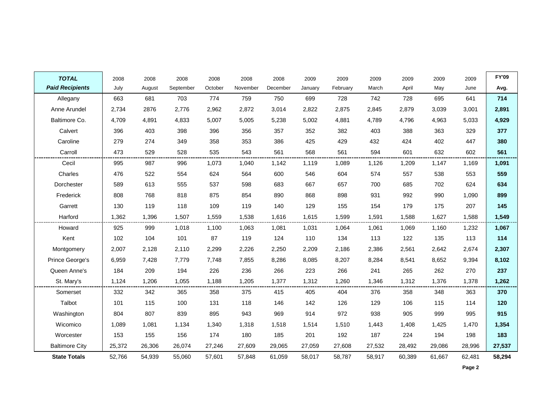| <b>TOTAL</b>           | 2008   | 2008   | 2008      | 2008    | 2008     | 2008     | 2009    | 2009     | 2009   | 2009   | 2009   | 2009   | <b>FY'09</b> |
|------------------------|--------|--------|-----------|---------|----------|----------|---------|----------|--------|--------|--------|--------|--------------|
| <b>Paid Recipients</b> | July   | August | September | October | November | December | January | February | March  | April  | May    | June   | Avg.         |
| Allegany               | 663    | 681    | 703       | 774     | 759      | 750      | 699     | 728      | 742    | 728    | 695    | 641    | 714          |
| Anne Arundel           | 2,734  | 2876   | 2,776     | 2,962   | 2,872    | 3,014    | 2,822   | 2,875    | 2,845  | 2,879  | 3,039  | 3,001  | 2,891        |
| Baltimore Co.          | 4,709  | 4,891  | 4,833     | 5,007   | 5,005    | 5,238    | 5,002   | 4,881    | 4,789  | 4,796  | 4,963  | 5,033  | 4,929        |
| Calvert                | 396    | 403    | 398       | 396     | 356      | 357      | 352     | 382      | 403    | 388    | 363    | 329    | 377          |
| Caroline               | 279    | 274    | 349       | 358     | 353      | 386      | 425     | 429      | 432    | 424    | 402    | 447    | 380          |
| Carroll                | 473    | 529    | 528       | 535     | 543      | 561      | 568     | 561      | 594    | 601    | 632    | 602    | 561          |
| Cecil                  | 995    | 987    | 996       | 1,073   | 1,040    | 1,142    | 1,119   | 1,089    | 1,126  | 1,209  | 1,147  | 1,169  | 1,091        |
| Charles                | 476    | 522    | 554       | 624     | 564      | 600      | 546     | 604      | 574    | 557    | 538    | 553    | 559          |
| Dorchester             | 589    | 613    | 555       | 537     | 598      | 683      | 667     | 657      | 700    | 685    | 702    | 624    | 634          |
| Frederick              | 808    | 768    | 818       | 875     | 854      | 890      | 868     | 898      | 931    | 992    | 990    | 1,090  | 899          |
| Garrett                | 130    | 119    | 118       | 109     | 119      | 140      | 129     | 155      | 154    | 179    | 175    | 207    | 145          |
| Harford                | 1,362  | 1,396  | 1,507     | 1,559   | 1,538    | 1,616    | 1,615   | 1,599    | 1,591  | 1,588  | 1,627  | 1,588  | 1,549        |
| Howard                 | 925    | 999    | 1,018     | 1,100   | 1,063    | 1,081    | 1,031   | 1,064    | 1,061  | 1,069  | 1,160  | 1,232  | 1,067        |
| Kent                   | 102    | 104    | 101       | 87      | 119      | 124      | 110     | 134      | 113    | 122    | 135    | 113    | 114          |
| Montgomery             | 2,007  | 2,128  | 2,110     | 2,299   | 2,226    | 2,250    | 2,209   | 2,186    | 2,386  | 2,561  | 2,642  | 2,674  | 2,307        |
| Prince George's        | 6,959  | 7,428  | 7,779     | 7,748   | 7,855    | 8,286    | 8,085   | 8,207    | 8,284  | 8,541  | 8,652  | 9,394  | 8,102        |
| Queen Anne's           | 184    | 209    | 194       | 226     | 236      | 266      | 223     | 266      | 241    | 265    | 262    | 270    | 237          |
| St. Mary's             | 1,124  | 1,206  | 1,055     | 1,188   | 1,205    | 1,377    | 1,312   | 1,260    | 1,346  | 1,312  | 1,376  | 1,378  | 1,262        |
| Somerset               | 332    | 342    | 365       | 358     | 375      | 415      | 405     | 404      | 376    | 358    | 348    | 363    | 370          |
| Talbot                 | 101    | 115    | 100       | 131     | 118      | 146      | 142     | 126      | 129    | 106    | 115    | 114    | 120          |
| Washington             | 804    | 807    | 839       | 895     | 943      | 969      | 914     | 972      | 938    | 905    | 999    | 995    | 915          |
| Wicomico               | 1,089  | 1,081  | 1,134     | 1,340   | 1,318    | 1,518    | 1,514   | 1,510    | 1,443  | 1,408  | 1,425  | 1,470  | 1,354        |
| Worcester              | 153    | 155    | 156       | 174     | 180      | 185      | 201     | 192      | 187    | 224    | 194    | 198    | 183          |
| <b>Baltimore City</b>  | 25,372 | 26,306 | 26,074    | 27,246  | 27,609   | 29,065   | 27,059  | 27,608   | 27,532 | 28,492 | 29,086 | 28,996 | 27,537       |
| <b>State Totals</b>    | 52,766 | 54,939 | 55,060    | 57,601  | 57,848   | 61,059   | 58,017  | 58,787   | 58,917 | 60,389 | 61,667 | 62,481 | 58,294       |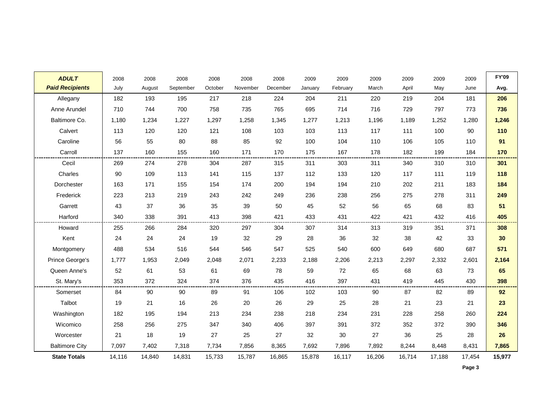| <b>ADULT</b>           | 2008   | 2008   | 2008      | 2008    | 2008     | 2008     | 2009    | 2009     | 2009   | 2009   | 2009   | 2009   | <b>FY'09</b> |
|------------------------|--------|--------|-----------|---------|----------|----------|---------|----------|--------|--------|--------|--------|--------------|
| <b>Paid Recipients</b> | July   | August | September | October | November | December | January | February | March  | April  | May    | June   | Avg.         |
| Allegany               | 182    | 193    | 195       | 217     | 218      | 224      | 204     | 211      | 220    | 219    | 204    | 181    | 206          |
| Anne Arundel           | 710    | 744    | 700       | 758     | 735      | 765      | 695     | 714      | 716    | 729    | 797    | 773    | 736          |
| Baltimore Co.          | 1,180  | 1,234  | 1,227     | 1,297   | 1,258    | 1,345    | 1,277   | 1,213    | 1,196  | 1,189  | 1,252  | 1,280  | 1,246        |
| Calvert                | 113    | 120    | 120       | 121     | 108      | 103      | 103     | 113      | 117    | 111    | 100    | 90     | 110          |
| Caroline               | 56     | 55     | 80        | 88      | 85       | 92       | 100     | 104      | 110    | 106    | 105    | 110    | 91           |
| Carroll                | 137    | 160    | 155       | 160     | 171      | 170      | 175     | 167      | 178    | 182    | 199    | 184    | 170          |
| Cecil                  | 269    | 274    | 278       | 304     | 287      | 315      | 311     | 303      | 311    | 340    | 310    | 310    | 301          |
| Charles                | 90     | 109    | 113       | 141     | 115      | 137      | 112     | 133      | 120    | 117    | 111    | 119    | 118          |
| Dorchester             | 163    | 171    | 155       | 154     | 174      | 200      | 194     | 194      | 210    | 202    | 211    | 183    | 184          |
| Frederick              | 223    | 213    | 219       | 243     | 242      | 249      | 236     | 238      | 256    | 275    | 278    | 311    | 249          |
| Garrett                | 43     | 37     | 36        | 35      | 39       | 50       | 45      | 52       | 56     | 65     | 68     | 83     | 51           |
| Harford                | 340    | 338    | 391       | 413     | 398      | 421      | 433     | 431      | 422    | 421    | 432    | 416    | 405          |
| Howard                 | 255    | 266    | 284       | 320     | 297      | 304      | 307     | 314      | 313    | 319    | 351    | 371    | 308          |
| Kent                   | 24     | 24     | 24        | 19      | 32       | 29       | 28      | 36       | 32     | 38     | 42     | 33     | 30           |
| Montgomery             | 488    | 534    | 516       | 544     | 546      | 547      | 525     | 540      | 600    | 649    | 680    | 687    | 571          |
| Prince George's        | 1,777  | 1,953  | 2,049     | 2,048   | 2,071    | 2,233    | 2,188   | 2,206    | 2,213  | 2,297  | 2,332  | 2,601  | 2,164        |
| Queen Anne's           | 52     | 61     | 53        | 61      | 69       | 78       | 59      | 72       | 65     | 68     | 63     | 73     | 65           |
| St. Mary's             | 353    | 372    | 324       | 374     | 376      | 435      | 416     | 397      | 431    | 419    | 445    | 430    | 398          |
| Somerset               | 84     | 90     | 90        | 89      | 91       | 106      | 102     | 103      | 90     | 87     | 82     | 89     | 92           |
| Talbot                 | 19     | 21     | 16        | 26      | 20       | 26       | 29      | 25       | 28     | 21     | 23     | 21     | 23           |
| Washington             | 182    | 195    | 194       | 213     | 234      | 238      | 218     | 234      | 231    | 228    | 258    | 260    | 224          |
| Wicomico               | 258    | 256    | 275       | 347     | 340      | 406      | 397     | 391      | 372    | 352    | 372    | 390    | 346          |
| Worcester              | 21     | 18     | 19        | 27      | 25       | 27       | 32      | 30       | 27     | 36     | 25     | 28     | 26           |
| <b>Baltimore City</b>  | 7,097  | 7,402  | 7,318     | 7,734   | 7,856    | 8,365    | 7,692   | 7,896    | 7,892  | 8,244  | 8,448  | 8,431  | 7,865        |
| <b>State Totals</b>    | 14,116 | 14,840 | 14,831    | 15,733  | 15,787   | 16,865   | 15,878  | 16,117   | 16,206 | 16,714 | 17,188 | 17,454 | 15,977       |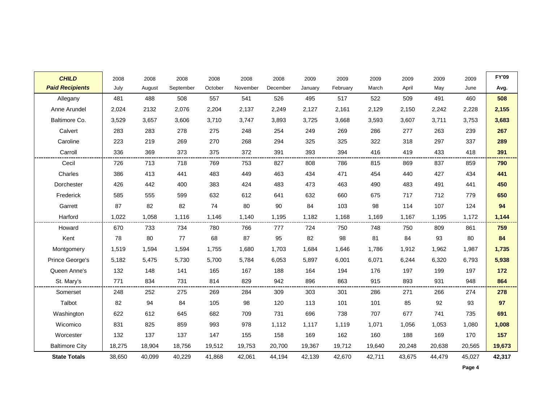| <b>CHILD</b>           | 2008   | 2008   | 2008      | 2008    | 2008     | 2008     | 2009    | 2009     | 2009   | 2009   | 2009   | 2009   | <b>FY'09</b> |
|------------------------|--------|--------|-----------|---------|----------|----------|---------|----------|--------|--------|--------|--------|--------------|
| <b>Paid Recipients</b> | July   | August | September | October | November | December | January | February | March  | April  | May    | June   | Avg.         |
| Allegany               | 481    | 488    | 508       | 557     | 541      | 526      | 495     | 517      | 522    | 509    | 491    | 460    | 508          |
| Anne Arundel           | 2,024  | 2132   | 2,076     | 2,204   | 2,137    | 2,249    | 2,127   | 2,161    | 2,129  | 2,150  | 2,242  | 2,228  | 2,155        |
| Baltimore Co.          | 3,529  | 3,657  | 3,606     | 3,710   | 3,747    | 3,893    | 3,725   | 3,668    | 3,593  | 3,607  | 3,711  | 3,753  | 3,683        |
| Calvert                | 283    | 283    | 278       | 275     | 248      | 254      | 249     | 269      | 286    | 277    | 263    | 239    | 267          |
| Caroline               | 223    | 219    | 269       | 270     | 268      | 294      | 325     | 325      | 322    | 318    | 297    | 337    | 289          |
| Carroll                | 336    | 369    | 373       | 375     | 372      | 391      | 393     | 394      | 416    | 419    | 433    | 418    | 391          |
| Cecil                  | 726    | 713    | 718       | 769     | 753      | 827      | 808     | 786      | 815    | 869    | 837    | 859    | 790          |
| Charles                | 386    | 413    | 441       | 483     | 449      | 463      | 434     | 471      | 454    | 440    | 427    | 434    | 441          |
| Dorchester             | 426    | 442    | 400       | 383     | 424      | 483      | 473     | 463      | 490    | 483    | 491    | 441    | 450          |
| Frederick              | 585    | 555    | 599       | 632     | 612      | 641      | 632     | 660      | 675    | 717    | 712    | 779    | 650          |
| Garrett                | 87     | 82     | 82        | 74      | 80       | 90       | 84      | 103      | 98     | 114    | 107    | 124    | 94           |
| Harford                | 1,022  | 1,058  | 1,116     | 1,146   | 1,140    | 1,195    | 1,182   | 1,168    | 1,169  | 1,167  | 1,195  | 1,172  | 1,144        |
| Howard                 | 670    | 733    | 734       | 780     | 766      | 777      | 724     | 750      | 748    | 750    | 809    | 861    | 759          |
| Kent                   | 78     | 80     | 77        | 68      | 87       | 95       | 82      | 98       | 81     | 84     | 93     | 80     | 84           |
| Montgomery             | 1,519  | 1,594  | 1,594     | 1,755   | 1,680    | 1,703    | 1,684   | 1,646    | 1,786  | 1,912  | 1,962  | 1,987  | 1,735        |
| Prince George's        | 5,182  | 5,475  | 5,730     | 5,700   | 5,784    | 6,053    | 5,897   | 6,001    | 6,071  | 6,244  | 6,320  | 6,793  | 5,938        |
| Queen Anne's           | 132    | 148    | 141       | 165     | 167      | 188      | 164     | 194      | 176    | 197    | 199    | 197    | 172          |
| St. Mary's             | 771    | 834    | 731       | 814     | 829      | 942      | 896     | 863      | 915    | 893    | 931    | 948    | 864          |
| Somerset               | 248    | 252    | 275       | 269     | 284      | 309      | 303     | 301      | 286    | 271    | 266    | 274    | 278          |
| Talbot                 | 82     | 94     | 84        | 105     | 98       | 120      | 113     | 101      | 101    | 85     | 92     | 93     | 97           |
| Washington             | 622    | 612    | 645       | 682     | 709      | 731      | 696     | 738      | 707    | 677    | 741    | 735    | 691          |
| Wicomico               | 831    | 825    | 859       | 993     | 978      | 1,112    | 1,117   | 1,119    | 1,071  | 1,056  | 1,053  | 1,080  | 1,008        |
| Worcester              | 132    | 137    | 137       | 147     | 155      | 158      | 169     | 162      | 160    | 188    | 169    | 170    | 157          |
| <b>Baltimore City</b>  | 18,275 | 18,904 | 18,756    | 19,512  | 19,753   | 20,700   | 19,367  | 19,712   | 19,640 | 20,248 | 20,638 | 20,565 | 19,673       |
| <b>State Totals</b>    | 38,650 | 40,099 | 40,229    | 41,868  | 42,061   | 44,194   | 42,139  | 42,670   | 42,711 | 43,675 | 44,479 | 45,027 | 42,317       |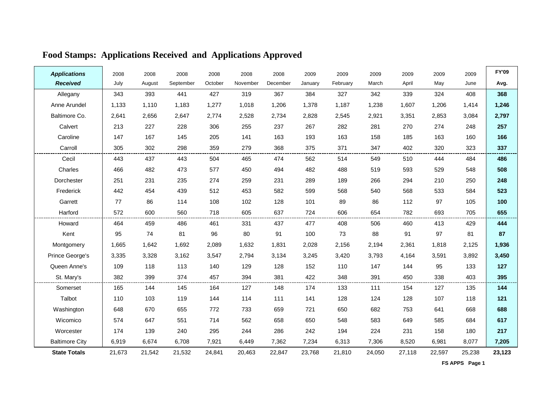| <b>Applications</b>   | 2008   | 2008   | 2008      | 2008    | 2008     | 2008     | 2009    | 2009     | 2009   | 2009   | 2009   | 2009   | <b>FY'09</b> |
|-----------------------|--------|--------|-----------|---------|----------|----------|---------|----------|--------|--------|--------|--------|--------------|
| <b>Received</b>       | July   | August | September | October | November | December | January | February | March  | April  | May    | June   | Avg.         |
| Allegany              | 343    | 393    | 441       | 427     | 319      | 367      | 384     | 327      | 342    | 339    | 324    | 408    | 368          |
| Anne Arundel          | 1,133  | 1,110  | 1,183     | 1,277   | 1,018    | 1,206    | 1,378   | 1,187    | 1,238  | 1,607  | 1,206  | 1,414  | 1,246        |
| Baltimore Co.         | 2,641  | 2,656  | 2,647     | 2,774   | 2,528    | 2,734    | 2,828   | 2,545    | 2,921  | 3,351  | 2,853  | 3,084  | 2,797        |
| Calvert               | 213    | 227    | 228       | 306     | 255      | 237      | 267     | 282      | 281    | 270    | 274    | 248    | 257          |
| Caroline              | 147    | 167    | 145       | 205     | 141      | 163      | 193     | 163      | 158    | 185    | 163    | 160    | 166          |
| Carroll               | 305    | 302    | 298       | 359     | 279      | 368      | 375     | 371      | 347    | 402    | 320    | 323    | 337          |
| Cecil                 | 443    | 437    | 443       | 504     | 465      | 474      | 562     | 514      | 549    | 510    | 444    | 484    | 486          |
| Charles               | 466    | 482    | 473       | 577     | 450      | 494      | 482     | 488      | 519    | 593    | 529    | 548    | 508          |
| Dorchester            | 251    | 231    | 235       | 274     | 259      | 231      | 289     | 189      | 266    | 294    | 210    | 250    | 248          |
| Frederick             | 442    | 454    | 439       | 512     | 453      | 582      | 599     | 568      | 540    | 568    | 533    | 584    | 523          |
| Garrett               | 77     | 86     | 114       | 108     | 102      | 128      | 101     | 89       | 86     | 112    | 97     | 105    | 100          |
| Harford               | 572    | 600    | 560       | 718     | 605      | 637      | 724     | 606      | 654    | 782    | 693    | 705    | 655          |
| Howard                | 464    | 459    | 486       | 461     | 331      | 437      | 477     | 408      | 506    | 460    | 413    | 429    | 444          |
| Kent                  | 95     | 74     | 81        | 96      | 80       | 91       | 100     | 73       | 88     | 91     | 97     | 81     | 87           |
| Montgomery            | 1,665  | 1,642  | 1,692     | 2,089   | 1,632    | 1,831    | 2,028   | 2,156    | 2,194  | 2,361  | 1,818  | 2,125  | 1,936        |
| Prince George's       | 3,335  | 3,328  | 3,162     | 3,547   | 2,794    | 3,134    | 3,245   | 3,420    | 3,793  | 4,164  | 3,591  | 3,892  | 3,450        |
| Queen Anne's          | 109    | 118    | 113       | 140     | 129      | 128      | 152     | 110      | 147    | 144    | 95     | 133    | 127          |
| St. Mary's            | 382    | 399    | 374       | 457     | 394      | 381      | 422     | 348      | 391    | 450    | 338    | 403    | 395          |
| Somerset              | 165    | 144    | 145       | 164     | 127      | 148      | 174     | 133      | 111    | 154    | 127    | 135    | 144          |
| Talbot                | 110    | 103    | 119       | 144     | 114      | 111      | 141     | 128      | 124    | 128    | 107    | 118    | 121          |
| Washington            | 648    | 670    | 655       | 772     | 733      | 659      | 721     | 650      | 682    | 753    | 641    | 668    | 688          |
| Wicomico              | 574    | 647    | 551       | 714     | 562      | 658      | 650     | 548      | 583    | 649    | 585    | 684    | 617          |
| Worcester             | 174    | 139    | 240       | 295     | 244      | 286      | 242     | 194      | 224    | 231    | 158    | 180    | 217          |
| <b>Baltimore City</b> | 6,919  | 6,674  | 6,708     | 7,921   | 6,449    | 7,362    | 7,234   | 6,313    | 7,306  | 8,520  | 6,981  | 8,077  | 7,205        |
| <b>State Totals</b>   | 21,673 | 21,542 | 21,532    | 24,841  | 20,463   | 22,847   | 23,768  | 21,810   | 24,050 | 27,118 | 22,597 | 25,238 | 23,123       |

### **Food Stamps: Applications Received and Applications Approved**

 **FS APPS Page 1**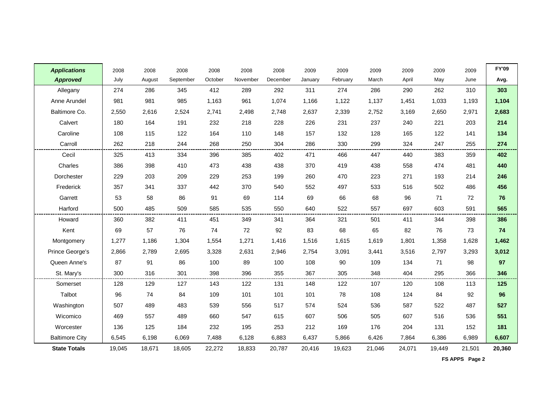| <b>Applications</b>   | 2008   | 2008   | 2008      | 2008    | 2008     | 2008     | 2009    | 2009     | 2009   | 2009   | 2009   | 2009   | <b>FY'09</b> |
|-----------------------|--------|--------|-----------|---------|----------|----------|---------|----------|--------|--------|--------|--------|--------------|
| <b>Approved</b>       | July   | August | September | October | November | December | January | February | March  | April  | May    | June   | Avg.         |
| Allegany              | 274    | 286    | 345       | 412     | 289      | 292      | 311     | 274      | 286    | 290    | 262    | 310    | 303          |
| Anne Arundel          | 981    | 981    | 985       | 1,163   | 961      | 1,074    | 1,166   | 1,122    | 1,137  | 1,451  | 1,033  | 1,193  | 1,104        |
| Baltimore Co.         | 2,550  | 2,616  | 2,524     | 2,741   | 2,498    | 2,748    | 2,637   | 2,339    | 2,752  | 3,169  | 2,650  | 2,971  | 2,683        |
| Calvert               | 180    | 164    | 191       | 232     | 218      | 228      | 226     | 231      | 237    | 240    | 221    | 203    | 214          |
| Caroline              | 108    | 115    | 122       | 164     | 110      | 148      | 157     | 132      | 128    | 165    | 122    | 141    | 134          |
| Carroll               | 262    | 218    | 244       | 268     | 250      | 304      | 286     | 330      | 299    | 324    | 247    | 255    | 274          |
| Cecil                 | 325    | 413    | 334       | 396     | 385      | 402      | 471     | 466      | 447    | 440    | 383    | 359    | 402          |
| Charles               | 386    | 398    | 410       | 473     | 438      | 438      | 370     | 419      | 438    | 558    | 474    | 481    | 440          |
| Dorchester            | 229    | 203    | 209       | 229     | 253      | 199      | 260     | 470      | 223    | 271    | 193    | 214    | 246          |
| Frederick             | 357    | 341    | 337       | 442     | 370      | 540      | 552     | 497      | 533    | 516    | 502    | 486    | 456          |
| Garrett               | 53     | 58     | 86        | 91      | 69       | 114      | 69      | 66       | 68     | 96     | 71     | 72     | 76           |
| Harford               | 500    | 485    | 509       | 585     | 535      | 550      | 640     | 522      | 557    | 697    | 603    | 591    | 565          |
| Howard                | 360    | 382    | 411       | 451     | 349      | 341      | 364     | 321      | 501    | 411    | 344    | 398    | 386          |
| Kent                  | 69     | 57     | 76        | 74      | 72       | 92       | 83      | 68       | 65     | 82     | 76     | 73     | 74           |
| Montgomery            | 1,277  | 1,186  | 1,304     | 1,554   | 1,271    | 1,416    | 1,516   | 1,615    | 1,619  | 1,801  | 1,358  | 1,628  | 1,462        |
| Prince George's       | 2,866  | 2,789  | 2,695     | 3,328   | 2,631    | 2,946    | 2,754   | 3,091    | 3,441  | 3,516  | 2,797  | 3,293  | 3,012        |
| Queen Anne's          | 87     | 91     | 86        | 100     | 89       | 100      | 108     | 90       | 109    | 134    | 71     | 98     | 97           |
| St. Mary's            | 300    | 316    | 301       | 398     | 396      | 355      | 367     | 305      | 348    | 404    | 295    | 366    | 346          |
| Somerset              | 128    | 129    | 127       | 143     | 122      | 131      | 148     | 122      | 107    | 120    | 108    | 113    | 125          |
| Talbot                | 96     | 74     | 84        | 109     | 101      | 101      | 101     | 78       | 108    | 124    | 84     | 92     | 96           |
| Washington            | 507    | 489    | 483       | 539     | 556      | 517      | 574     | 524      | 536    | 587    | 522    | 487    | 527          |
| Wicomico              | 469    | 557    | 489       | 660     | 547      | 615      | 607     | 506      | 505    | 607    | 516    | 536    | 551          |
| Worcester             | 136    | 125    | 184       | 232     | 195      | 253      | 212     | 169      | 176    | 204    | 131    | 152    | 181          |
| <b>Baltimore City</b> | 6,545  | 6,198  | 6,069     | 7,488   | 6,128    | 6,883    | 6,437   | 5,866    | 6,426  | 7,864  | 6,386  | 6,989  | 6,607        |
| <b>State Totals</b>   | 19,045 | 18,671 | 18,605    | 22,272  | 18,833   | 20,787   | 20,416  | 19,623   | 21,046 | 24,071 | 19,449 | 21,501 | 20,360       |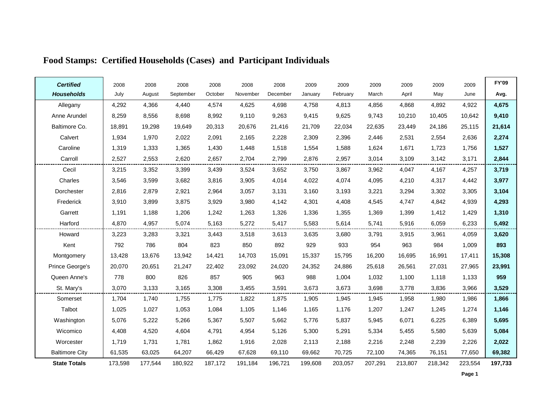| <b>Certified</b>      | 2008    | 2008    | 2008      | 2008    | 2008     | 2008     | 2009    | 2009     | 2009    | 2009    | 2009    | 2009    | FY'09   |
|-----------------------|---------|---------|-----------|---------|----------|----------|---------|----------|---------|---------|---------|---------|---------|
| <b>Households</b>     | July    | August  | September | October | November | December | January | February | March   | April   | May     | June    | Avg.    |
| Allegany              | 4,292   | 4,366   | 4,440     | 4,574   | 4,625    | 4,698    | 4,758   | 4,813    | 4,856   | 4,868   | 4,892   | 4,922   | 4,675   |
| Anne Arundel          | 8,259   | 8,556   | 8,698     | 8,992   | 9,110    | 9,263    | 9,415   | 9,625    | 9,743   | 10,210  | 10,405  | 10,642  | 9,410   |
| Baltimore Co.         | 18,891  | 19,298  | 19,649    | 20,313  | 20,676   | 21,416   | 21,709  | 22,034   | 22,635  | 23,449  | 24,186  | 25,115  | 21,614  |
| Calvert               | 1,934   | 1,970   | 2,022     | 2,091   | 2,165    | 2,228    | 2,309   | 2,396    | 2,446   | 2,531   | 2,554   | 2,636   | 2,274   |
| Caroline              | 1,319   | 1,333   | 1,365     | 1,430   | 1,448    | 1,518    | 1,554   | 1,588    | 1,624   | 1,671   | 1,723   | 1,756   | 1,527   |
| Carroll               | 2,527   | 2,553   | 2,620     | 2,657   | 2,704    | 2,799    | 2,876   | 2,957    | 3,014   | 3,109   | 3,142   | 3,171   | 2,844   |
| Cecil                 | 3,215   | 3,352   | 3,399     | 3,439   | 3,524    | 3,652    | 3,750   | 3,867    | 3,962   | 4.047   | 4,167   | 4,257   | 3,719   |
| Charles               | 3,546   | 3,599   | 3,682     | 3,816   | 3,905    | 4,014    | 4,022   | 4,074    | 4,095   | 4,210   | 4,317   | 4,442   | 3,977   |
| Dorchester            | 2,816   | 2,879   | 2,921     | 2,964   | 3,057    | 3,131    | 3,160   | 3,193    | 3,221   | 3,294   | 3,302   | 3,305   | 3,104   |
| Frederick             | 3,910   | 3,899   | 3,875     | 3,929   | 3,980    | 4,142    | 4,301   | 4,408    | 4,545   | 4,747   | 4,842   | 4,939   | 4,293   |
| Garrett               | 1,191   | 1,188   | 1,206     | 1,242   | 1,263    | 1,326    | 1,336   | 1,355    | 1,369   | 1,399   | 1,412   | 1,429   | 1,310   |
| Harford               | 4,870   | 4,957   | 5,074     | 5,163   | 5,272    | 5,417    | 5,583   | 5,614    | 5,741   | 5,916   | 6,059   | 6,233   | 5,492   |
| Howard                | 3,223   | 3,283   | 3,321     | 3,443   | 3,518    | 3,613    | 3,635   | 3,680    | 3,791   | 3,915   | 3,961   | 4,059   | 3,620   |
| Kent                  | 792     | 786     | 804       | 823     | 850      | 892      | 929     | 933      | 954     | 963     | 984     | 1,009   | 893     |
| Montgomery            | 13,428  | 13,676  | 13,942    | 14,421  | 14,703   | 15,091   | 15,337  | 15,795   | 16,200  | 16,695  | 16,991  | 17,411  | 15,308  |
| Prince George's       | 20,070  | 20,651  | 21,247    | 22,402  | 23,092   | 24,020   | 24,352  | 24,886   | 25,618  | 26,561  | 27,031  | 27,965  | 23,991  |
| Queen Anne's          | 778     | 800     | 826       | 857     | 905      | 963      | 988     | 1,004    | 1.032   | 1,100   | 1,118   | 1,133   | 959     |
| St. Mary's            | 3,070   | 3,133   | 3,165     | 3,308   | 3,455    | 3,591    | 3,673   | 3,673    | 3,698   | 3,778   | 3,836   | 3,966   | 3,529   |
| Somerset              | 1,704   | 1,740   | 1,755     | 1,775   | 1,822    | 1,875    | 1,905   | 1,945    | 1,945   | 1,958   | 1,980   | 1,986   | 1,866   |
| Talbot                | 1,025   | 1,027   | 1,053     | 1,084   | 1,105    | 1,146    | 1,165   | 1,176    | 1,207   | 1,247   | 1,245   | 1,274   | 1,146   |
| Washington            | 5,076   | 5,222   | 5,266     | 5,367   | 5,507    | 5,662    | 5,776   | 5,837    | 5,945   | 6.071   | 6,225   | 6,389   | 5,695   |
| Wicomico              | 4,408   | 4,520   | 4,604     | 4,791   | 4,954    | 5,126    | 5,300   | 5,291    | 5,334   | 5,455   | 5,580   | 5,639   | 5,084   |
| Worcester             | 1,719   | 1,731   | 1,781     | 1,862   | 1,916    | 2,028    | 2,113   | 2,188    | 2,216   | 2,248   | 2,239   | 2,226   | 2,022   |
| <b>Baltimore City</b> | 61,535  | 63,025  | 64,207    | 66,429  | 67,628   | 69,110   | 69,662  | 70,725   | 72,100  | 74,365  | 76,151  | 77,650  | 69,382  |
| <b>State Totals</b>   | 173,598 | 177,544 | 180,922   | 187,172 | 191,184  | 196,721  | 199,608 | 203,057  | 207,291 | 213,807 | 218,342 | 223,554 | 197,733 |

# **Food Stamps: Certified Households (Cases) and Participant Individuals**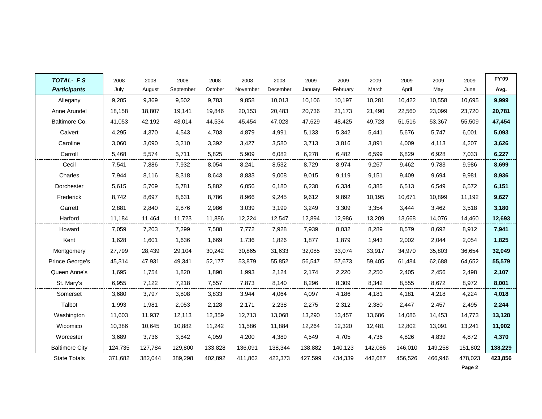| <b>TOTAL- FS</b>      | 2008    | 2008    | 2008      | 2008    | 2008     | 2008     | 2009    | 2009     | 2009    | 2009    | 2009    | 2009    | FY'09   |
|-----------------------|---------|---------|-----------|---------|----------|----------|---------|----------|---------|---------|---------|---------|---------|
| <b>Participants</b>   | July    | August  | September | October | November | December | January | February | March   | April   | May     | June    | Avg.    |
| Allegany              | 9,205   | 9,369   | 9,502     | 9,783   | 9,858    | 10,013   | 10,106  | 10,197   | 10,281  | 10,422  | 10,558  | 10,695  | 9,999   |
| Anne Arundel          | 18,158  | 18,807  | 19,141    | 19,846  | 20,153   | 20,483   | 20,736  | 21,173   | 21,490  | 22,560  | 23,099  | 23,720  | 20,781  |
| Baltimore Co.         | 41,053  | 42,192  | 43,014    | 44,534  | 45,454   | 47,023   | 47,629  | 48,425   | 49,728  | 51,516  | 53,367  | 55,509  | 47,454  |
| Calvert               | 4,295   | 4,370   | 4,543     | 4,703   | 4,879    | 4,991    | 5,133   | 5,342    | 5,441   | 5,676   | 5,747   | 6,001   | 5,093   |
| Caroline              | 3,060   | 3,090   | 3,210     | 3,392   | 3,427    | 3,580    | 3,713   | 3,816    | 3,891   | 4,009   | 4,113   | 4,207   | 3,626   |
| Carroll               | 5,468   | 5,574   | 5,711     | 5,825   | 5,909    | 6,082    | 6,278   | 6,482    | 6,599   | 6,829   | 6,928   | 7,033   | 6,227   |
| Cecil                 | 7,541   | 7,886   | 7,932     | 8,054   | 8,241    | 8,532    | 8,729   | 8,974    | 9,267   | 9,462   | 9,783   | 9,986   | 8,699   |
| Charles               | 7,944   | 8,116   | 8,318     | 8,643   | 8,833    | 9,008    | 9,015   | 9,119    | 9,151   | 9,409   | 9,694   | 9,981   | 8,936   |
| Dorchester            | 5,615   | 5,709   | 5,781     | 5,882   | 6,056    | 6,180    | 6,230   | 6,334    | 6,385   | 6,513   | 6,549   | 6,572   | 6,151   |
| Frederick             | 8,742   | 8,697   | 8,631     | 8,786   | 8,966    | 9,245    | 9,612   | 9,892    | 10,195  | 10,671  | 10,899  | 11,192  | 9,627   |
| Garrett               | 2,881   | 2.840   | 2,876     | 2,986   | 3,039    | 3,199    | 3,249   | 3,309    | 3,354   | 3,444   | 3,462   | 3,518   | 3,180   |
| Harford               | 11,184  | 11,464  | 11,723    | 11,886  | 12,224   | 12,547   | 12,894  | 12,986   | 13,209  | 13,668  | 14,076  | 14,460  | 12,693  |
| Howard                | 7,059   | 7,203   | 7,299     | 7,588   | 7,772    | 7,928    | 7,939   | 8,032    | 8,289   | 8,579   | 8,692   | 8,912   | 7,941   |
| Kent                  | 1,628   | 1,601   | 1,636     | 1,669   | 1,736    | 1,826    | 1,877   | 1,879    | 1,943   | 2,002   | 2,044   | 2,054   | 1,825   |
| Montgomery            | 27,799  | 28,439  | 29,104    | 30,242  | 30,865   | 31,633   | 32,085  | 33,074   | 33,917  | 34,970  | 35,803  | 36,654  | 32,049  |
| Prince George's       | 45,314  | 47,931  | 49,341    | 52,177  | 53,879   | 55,852   | 56,547  | 57,673   | 59,405  | 61,484  | 62,688  | 64,652  | 55,579  |
| Queen Anne's          | 1,695   | 1,754   | 1,820     | 1,890   | 1,993    | 2,124    | 2,174   | 2,220    | 2,250   | 2,405   | 2,456   | 2,498   | 2,107   |
| St. Mary's            | 6,955   | 7,122   | 7,218     | 7,557   | 7,873    | 8,140    | 8,296   | 8,309    | 8,342   | 8,555   | 8,672   | 8,972   | 8,001   |
| Somerset              | 3,680   | 3,797   | 3,808     | 3,833   | 3,944    | 4,064    | 4,097   | 4,186    | 4,181   | 4,181   | 4,218   | 4,224   | 4,018   |
| Talbot                | 1,993   | 1,981   | 2,053     | 2,128   | 2,171    | 2,238    | 2,275   | 2,312    | 2,380   | 2,447   | 2,457   | 2,495   | 2,244   |
| Washington            | 11,603  | 11,937  | 12,113    | 12,359  | 12,713   | 13,068   | 13,290  | 13,457   | 13,686  | 14,086  | 14,453  | 14,773  | 13,128  |
| Wicomico              | 10,386  | 10,645  | 10,882    | 11,242  | 11,586   | 11,884   | 12,264  | 12,320   | 12,481  | 12,802  | 13,091  | 13,241  | 11,902  |
| Worcester             | 3,689   | 3,736   | 3,842     | 4,059   | 4,200    | 4,389    | 4,549   | 4,705    | 4,736   | 4,826   | 4,839   | 4,872   | 4,370   |
| <b>Baltimore City</b> | 124,735 | 127,784 | 129,800   | 133,828 | 136,091  | 138,344  | 138,882 | 140,123  | 142,086 | 146,010 | 149,258 | 151,802 | 138,229 |
| <b>State Totals</b>   | 371,682 | 382,044 | 389,298   | 402,892 | 411,862  | 422,373  | 427,599 | 434,339  | 442,687 | 456,526 | 466,946 | 478,023 | 423,856 |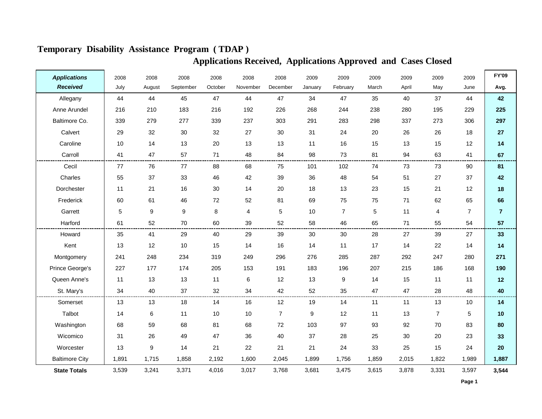| <b>Applications</b>   | 2008  | 2008             | 2008      | 2008    | 2008                    | 2008           | 2009    | 2009           | 2009  | 2009  | 2009           | 2009            | <b>FY'09</b>   |
|-----------------------|-------|------------------|-----------|---------|-------------------------|----------------|---------|----------------|-------|-------|----------------|-----------------|----------------|
| <b>Received</b>       | July  | August           | September | October | November                | December       | January | February       | March | April | May            | June            | Avg.           |
| Allegany              | 44    | 44               | 45        | 47      | 44                      | 47             | 34      | 47             | 35    | 40    | 37             | 44              | 42             |
| Anne Arundel          | 216   | 210              | 183       | 216     | 192                     | 226            | 268     | 244            | 238   | 280   | 195            | 229             | 225            |
| Baltimore Co.         | 339   | 279              | 277       | 339     | 237                     | 303            | 291     | 283            | 298   | 337   | 273            | 306             | 297            |
| Calvert               | 29    | 32               | 30        | 32      | 27                      | 30             | 31      | 24             | 20    | 26    | 26             | 18              | 27             |
| Caroline              | 10    | 14               | 13        | 20      | 13                      | 13             | 11      | 16             | 15    | 13    | 15             | 12              | 14             |
| Carroll               | 41    | 47               | 57        | 71      | 48                      | 84             | 98      | 73             | 81    | 94    | 63             | 41              | 67             |
| Cecil                 | 77    | 76               | 77        | 88      | 68                      | 75             | 101     | 102            | 74    | 73    | 73             | 90              | 81             |
| Charles               | 55    | 37               | 33        | 46      | 42                      | 39             | 36      | 48             | 54    | 51    | 27             | 37              | 42             |
| Dorchester            | 11    | 21               | 16        | 30      | 14                      | 20             | 18      | 13             | 23    | 15    | 21             | 12              | 18             |
| Frederick             | 60    | 61               | 46        | 72      | 52                      | 81             | 69      | 75             | 75    | 71    | 62             | 65              | 66             |
| Garrett               | 5     | $\boldsymbol{9}$ | 9         | 8       | $\overline{\mathbf{4}}$ | 5              | 10      | $\overline{7}$ | 5     | 11    | $\overline{4}$ | $\overline{7}$  | $\overline{7}$ |
| Harford               | 61    | 52               | 70        | 60      | 39                      | 52             | 58      | 46             | 65    | 71    | 55             | 54              | 57             |
| Howard                | 35    | 41               | 29        | 40      | 29                      | 39             | 30      | 30             | 28    | 27    | 39             | 27              | 33             |
| Kent                  | 13    | 12               | 10        | 15      | 14                      | 16             | 14      | 11             | 17    | 14    | 22             | 14              | 14             |
| Montgomery            | 241   | 248              | 234       | 319     | 249                     | 296            | 276     | 285            | 287   | 292   | 247            | 280             | 271            |
| Prince George's       | 227   | 177              | 174       | 205     | 153                     | 191            | 183     | 196            | 207   | 215   | 186            | 168             | 190            |
| Queen Anne's          | 11    | 13               | 13        | 11      | 6                       | 12             | 13      | 9              | 14    | 15    | 11             | 11              | $12$           |
| St. Mary's            | 34    | 40               | 37        | 32      | 34                      | 42             | 52      | 35             | 47    | 47    | 28             | 48              | 40             |
| Somerset              | 13    | 13               | 18        | 14      | 16                      | 12             | 19      | 14             | 11    | 11    | 13             | 10 <sup>1</sup> | 14             |
| Talbot                | 14    | 6                | 11        | 10      | 10                      | $\overline{7}$ | 9       | 12             | 11    | 13    | $\overline{7}$ | 5               | 10             |
| Washington            | 68    | 59               | 68        | 81      | 68                      | 72             | 103     | 97             | 93    | 92    | 70             | 83              | 80             |
| Wicomico              | 31    | 26               | 49        | 47      | 36                      | 40             | 37      | 28             | 25    | 30    | 20             | 23              | 33             |
| Worcester             | 13    | $\boldsymbol{9}$ | 14        | 21      | 22                      | 21             | 21      | 24             | 33    | 25    | 15             | 24              | 20             |
| <b>Baltimore City</b> | 1,891 | 1,715            | 1,858     | 2,192   | 1,600                   | 2,045          | 1,899   | 1,756          | 1,859 | 2,015 | 1,822          | 1,989           | 1,887          |
| <b>State Totals</b>   | 3,539 | 3,241            | 3,371     | 4,016   | 3,017                   | 3,768          | 3,681   | 3,475          | 3,615 | 3,878 | 3,331          | 3,597           | 3,544          |

# **Temporary Disability Assistance Program ( TDAP )**

# **Applications Received, Applications Approved and Cases Closed**

**Page 1**

 $\blacksquare$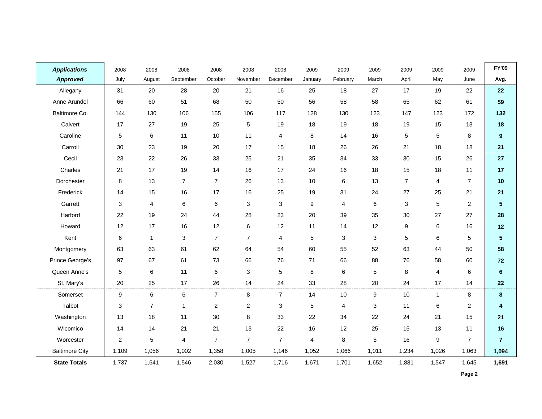| <b>Applications</b>   | 2008            | 2008           | 2008           | 2008           | 2008           | 2008           | 2009    | 2009           | 2009  | 2009           | 2009           | 2009           | <b>FY'09</b>            |
|-----------------------|-----------------|----------------|----------------|----------------|----------------|----------------|---------|----------------|-------|----------------|----------------|----------------|-------------------------|
| <b>Approved</b>       | July            | August         | September      | October        | November       | December       | January | February       | March | April          | May            | June           | Avg.                    |
| Allegany              | 31              | 20             | 28             | 20             | 21             | 16             | 25      | 18             | 27    | 17             | 19             | 22             | 22                      |
| Anne Arundel          | 66              | 60             | 51             | 68             | 50             | 50             | 56      | 58             | 58    | 65             | 62             | 61             | 59                      |
| Baltimore Co.         | 144             | 130            | 106            | 155            | 106            | 117            | 128     | 130            | 123   | 147            | 123            | 172            | 132                     |
| Calvert               | 17              | 27             | 19             | 25             | $\,$ 5 $\,$    | 19             | 18      | 19             | 18    | 19             | 15             | 13             | 18                      |
| Caroline              | 5               | 6              | 11             | 10             | 11             | 4              | 8       | 14             | 16    | 5              | $\sqrt{5}$     | 8              | 9                       |
| Carroll               | 30              | 23             | 19             | 20             | 17             | 15             | 18      | 26             | 26    | 21             | 18             | 18             | 21                      |
| Cecil                 | 23              | 22             | 26             | 33             | 25             | 21             | 35      | 34             | 33    | 30             | 15             | 26             | 27                      |
| Charles               | 21              | 17             | 19             | 14             | 16             | 17             | 24      | 16             | 18    | 15             | 18             | 11             | 17                      |
| Dorchester            | 8               | 13             | $\overline{7}$ | $\overline{7}$ | 26             | 13             | 10      | $\,6\,$        | 13    | $\overline{7}$ | 4              | $\overline{7}$ | 10                      |
| Frederick             | 14              | 15             | 16             | 17             | 16             | 25             | 19      | 31             | 24    | 27             | 25             | 21             | 21                      |
| Garrett               | 3               | 4              | 6              | 6              | 3              | $\mathbf{3}$   | 9       | $\overline{4}$ | 6     | 3              | $\sqrt{5}$     | $\overline{2}$ | $\overline{\mathbf{5}}$ |
| Harford               | 22              | 19             | 24             | 44             | 28             | 23             | 20      | 39             | 35    | 30             | 27             | 27             | 28                      |
| Howard                | 12              | 17             | 16             | 12             | 6              | 12             | 11      | 14             | 12    | 9              | 6              | 16             | 12                      |
| Kent                  | $\,6\,$         | $\mathbf{1}$   | 3              | $\overline{7}$ | $\overline{7}$ | 4              | 5       | $\mathbf{3}$   | 3     | 5              | $\,6\,$        | 5              | 5                       |
| Montgomery            | 63              | 63             | 61             | 62             | 64             | 54             | 60      | 55             | 52    | 63             | 44             | 50             | 58                      |
| Prince George's       | 97              | 67             | 61             | 73             | 66             | 76             | 71      | 66             | 88    | 76             | 58             | 60             | 72                      |
| Queen Anne's          | $5\phantom{.0}$ | 6              | 11             | 6              | 3              | 5              | 8       | 6              | 5     | 8              | 4              | 6              | $6\phantom{a}$          |
| St. Mary's            | 20              | 25             | 17             | 26             | 14             | 24             | 33      | 28             | 20    | 24             | 17             | 14             | 22                      |
| Somerset              | 9               | 6              | 6              | $\overline{7}$ | 8              | $\overline{7}$ | 14      | 10             | 9     | 10             | $\overline{1}$ | 8              | 8                       |
| Talbot                | 3               | $\overline{7}$ | 1              | 2              | $\overline{c}$ | 3              | 5       | 4              | 3     | 11             | $\,6$          | $\overline{2}$ | 4                       |
| Washington            | 13              | 18             | 11             | 30             | 8              | 33             | 22      | 34             | 22    | 24             | 21             | 15             | 21                      |
| Wicomico              | 14              | 14             | 21             | 21             | 13             | 22             | 16      | 12             | 25    | 15             | 13             | 11             | 16                      |
| Worcester             | $\overline{c}$  | 5              | 4              | 7              | $\overline{7}$ | $\overline{7}$ | 4       | 8              | 5     | 16             | 9              | $\overline{7}$ | $\overline{7}$          |
| <b>Baltimore City</b> | 1,109           | 1,056          | 1,002          | 1,358          | 1,005          | 1,146          | 1,052   | 1,066          | 1,011 | 1,234          | 1,026          | 1,063          | 1,094                   |
| <b>State Totals</b>   | 1,737           | 1,641          | 1,546          | 2,030          | 1,527          | 1,716          | 1,671   | 1,701          | 1,652 | 1,881          | 1,547          | 1,645          | 1,691                   |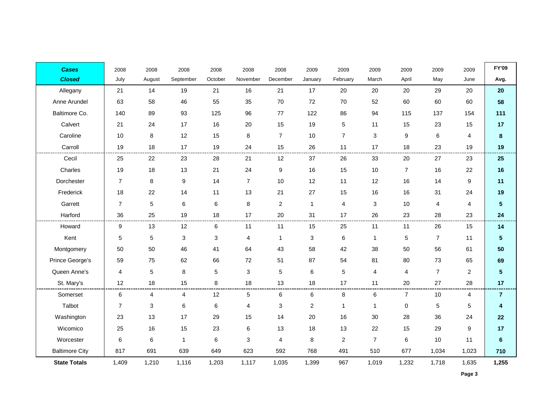| <b>Cases</b>          | 2008           | 2008   | 2008         | 2008    | 2008           | 2008           | 2009           | 2009             | 2009           | 2009             | 2009             | 2009             | <b>FY'09</b>   |
|-----------------------|----------------|--------|--------------|---------|----------------|----------------|----------------|------------------|----------------|------------------|------------------|------------------|----------------|
| <b>Closed</b>         | July           | August | September    | October | November       | December       | January        | February         | March          | April            | May              | June             | Avg.           |
| Allegany              | 21             | 14     | 19           | 21      | 16             | 21             | 17             | 20               | 20             | 20               | 29               | 20               | 20             |
| Anne Arundel          | 63             | 58     | 46           | 55      | 35             | 70             | 72             | 70               | 52             | 60               | 60               | 60               | 58             |
| Baltimore Co.         | 140            | 89     | 93           | 125     | 96             | 77             | 122            | 86               | 94             | 115              | 137              | 154              | 111            |
| Calvert               | 21             | 24     | 17           | 16      | 20             | 15             | 19             | 5                | 11             | 15               | 23               | 15               | 17             |
| Caroline              | 10             | 8      | 12           | 15      | $\bf 8$        | $\overline{7}$ | 10             | $\overline{7}$   | $\sqrt{3}$     | 9                | $\,6\,$          | $\overline{4}$   | ${\bf 8}$      |
| Carroll               | 19             | 18     | 17           | 19      | 24             | 15             | 26             | 11               | 17             | 18               | 23               | 19               | 19             |
| Cecil                 | 25             | 22     | 23           | 28      | 21             | 12             | 37             | 26               | 33             | 20               | 27               | 23               | 25             |
| Charles               | 19             | 18     | 13           | 21      | 24             | 9              | 16             | 15               | 10             | $\overline{7}$   | 16               | 22               | 16             |
| Dorchester            | $\overline{7}$ | 8      | 9            | 14      | $\overline{7}$ | 10             | 12             | 11               | 12             | 16               | 14               | $\boldsymbol{9}$ | 11             |
| Frederick             | 18             | 22     | 14           | 11      | 13             | 21             | 27             | 15               | 16             | 16               | 31               | 24               | 19             |
| Garrett               | $\overline{7}$ | 5      | 6            | 6       | 8              | $\overline{2}$ | $\mathbf{1}$   | $\overline{4}$   | 3              | 10               | 4                | 4                | 5              |
| Harford               | 36             | 25     | 19           | 18      | 17             | $20\,$         | 31             | 17               | 26             | 23               | 28               | 23               | 24             |
| Howard                | 9              | 13     | 12           | 6       | 11             | 11             | 15             | 25               | 11             | 11               | 26               | 15               | 14             |
| Kent                  | $\sqrt{5}$     | 5      | 3            | 3       | 4              | $\mathbf{1}$   | 3              | $\,6\,$          | $\mathbf{1}$   | 5                | $\boldsymbol{7}$ | 11               | 5              |
| Montgomery            | 50             | 50     | 46           | 41      | 64             | 43             | 58             | 42               | 38             | 50               | 56               | 61               | 50             |
| Prince George's       | 59             | 75     | 62           | 66      | 72             | 51             | 87             | 54               | 81             | 80               | 73               | 65               | 69             |
| Queen Anne's          | 4              | 5      | 8            | 5       | 3              | 5              | 6              | 5                | 4              | 4                | $\boldsymbol{7}$ | $\overline{2}$   | 5              |
| St. Mary's            | 12             | 18     | 15           | 8       | 18             | 13             | 18             | 17               | 11             | 20               | 27               | 28               | 17             |
| Somerset              | 6              | 4      | 4            | 12      | 5              | 6              | 6              | 8                | 6              | $\overline{7}$   | 10               | $\overline{4}$   | $\overline{7}$ |
| Talbot                | $\overline{7}$ | 3      | 6            | 6       | 4              | 3              | $\overline{c}$ | $\mathbf{1}$     | 1              | $\boldsymbol{0}$ | $\,$ 5 $\,$      | 5                | 4              |
| Washington            | 23             | 13     | 17           | 29      | 15             | 14             | 20             | 16               | 30             | 28               | 36               | 24               | 22             |
| Wicomico              | 25             | 16     | 15           | 23      | 6              | 13             | 18             | 13               | 22             | 15               | 29               | 9                | 17             |
| Worcester             | 6              | 6      | $\mathbf{1}$ | 6       | 3              | 4              | 8              | $\boldsymbol{2}$ | $\overline{7}$ | $\,6\,$          | 10               | 11               | $6\phantom{a}$ |
| <b>Baltimore City</b> | 817            | 691    | 639          | 649     | 623            | 592            | 768            | 491              | 510            | 677              | 1,034            | 1,023            | 710            |
| <b>State Totals</b>   | 1,409          | 1,210  | 1,116        | 1,203   | 1,117          | 1,035          | 1,399          | 967              | 1,019          | 1,232            | 1,718            | 1,635            | 1,255          |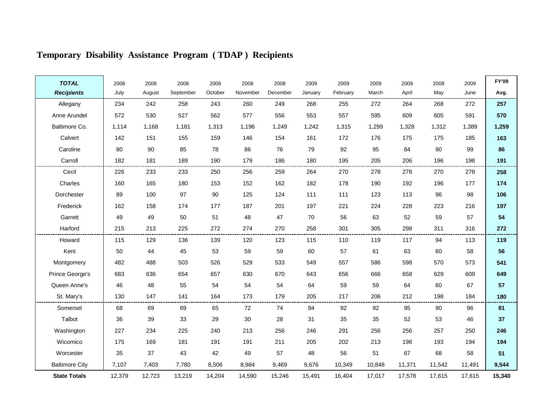| <b>TOTAL</b>          | 2008   | 2008   | 2008      | 2008    | 2008     | 2008     | 2009    | 2009     | 2009   | 2009   | 2009   | 2009   | <b>FY'09</b> |
|-----------------------|--------|--------|-----------|---------|----------|----------|---------|----------|--------|--------|--------|--------|--------------|
| <b>Recipients</b>     | July   | August | September | October | November | December | January | February | March  | April  | May    | June   | Avg.         |
| Allegany              | 234    | 242    | 258       | 243     | 260      | 249      | 268     | 255      | 272    | 264    | 268    | 272    | 257          |
| Anne Arundel          | 572    | 530    | 527       | 562     | 577      | 556      | 553     | 557      | 595    | 609    | 605    | 591    | 570          |
| Baltimore Co.         | 1,114  | 1,168  | 1,181     | 1,313   | 1,196    | 1,249    | 1,242   | 1,315    | 1,299  | 1,328  | 1,312  | 1,389  | 1,259        |
| Calvert               | 142    | 151    | 155       | 159     | 146      | 154      | 161     | 172      | 176    | 175    | 175    | 185    | 163          |
| Caroline              | 80     | 90     | 85        | 78      | 86       | 76       | 79      | 92       | 95     | 84     | 90     | 99     | 86           |
| Carroll               | 182    | 181    | 189       | 190     | 179      | 186      | 180     | 195      | 205    | 206    | 196    | 198    | 191          |
| Cecil                 | 226    | 233    | 233       | 250     | 256      | 259      | 264     | 270      | 278    | 278    | 270    | 278    | 258          |
| Charles               | 160    | 165    | 180       | 153     | 152      | 162      | 182     | 178      | 190    | 192    | 196    | 177    | 174          |
| Dorchester            | 89     | 100    | 97        | 90      | 125      | 124      | 111     | 111      | 123    | 113    | 96     | 98     | 106          |
| Frederick             | 162    | 158    | 174       | 177     | 187      | 201      | 197     | 221      | 224    | 228    | 223    | 216    | 197          |
| Garrett               | 49     | 49     | 50        | 51      | 48       | 47       | 70      | 56       | 63     | 52     | 59     | 57     | 54           |
| Harford               | 215    | 213    | 225       | 272     | 274      | 270      | 258     | 301      | 305    | 298    | 311    | 316    | 272          |
| Howard                | 115    | 129    | 136       | 139     | 120      | 123      | 115     | 110      | 119    | 117    | 94     | 113    | 119          |
| Kent                  | 50     | 44     | 45        | 53      | 59       | 59       | 60      | 57       | 61     | 63     | 60     | 58     | 56           |
| Montgomery            | 482    | 488    | 503       | 526     | 529      | 533      | 549     | 557      | 586    | 598    | 570    | 573    | 541          |
| Prince George's       | 683    | 636    | 654       | 657     | 630      | 670      | 643     | 656      | 666    | 658    | 629    | 609    | 649          |
| Queen Anne's          | 46     | 48     | 55        | 54      | 54       | 54       | 64      | 59       | 59     | 64     | 60     | 67     | 57           |
| St. Mary's            | 130    | 147    | 141       | 164     | 173      | 179      | 205     | 217      | 206    | 212    | 198    | 184    | 180          |
| Somerset              | 68     | 69     | 69        | 65      | 72       | 74       | 84      | 92       | 92     | 95     | 90     | 96     | 81           |
| Talbot                | 36     | 39     | 33        | 29      | 30       | 28       | 31      | 35       | 35     | 52     | 53     | 46     | 37           |
| Washington            | 227    | 234    | 225       | 240     | 213      | 256      | 246     | 291      | 256    | 256    | 257    | 250    | 246          |
| Wicomico              | 175    | 169    | 181       | 191     | 191      | 211      | 205     | 202      | 213    | 198    | 193    | 194    | 194          |
| Worcester             | 35     | 37     | 43        | 42      | 49       | 57       | 48      | 56       | 51     | 67     | 68     | 58     | 51           |
| <b>Baltimore City</b> | 7,107  | 7,403  | 7,780     | 8,506   | 8,984    | 9,469    | 9,676   | 10,349   | 10,848 | 11,371 | 11,542 | 11,491 | 9,544        |
| <b>State Totals</b>   | 12,379 | 12,723 | 13,219    | 14,204  | 14,590   | 15,246   | 15,491  | 16,404   | 17,017 | 17,578 | 17,615 | 17,615 | 15,340       |

# **Temporary Disability Assistance Program ( TDAP ) Recipients**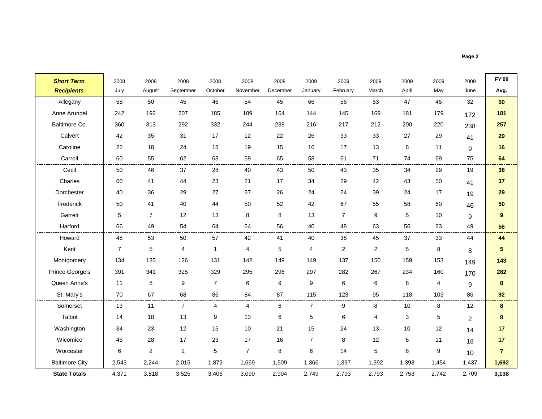**Page 2**

r

| <b>Short Term</b>     | 2008           | 2008             | 2008           | 2008           | 2008                    | 2008             | 2009             | 2009           | 2009           | 2009  | 2009        | 2009           | <b>FY'09</b>     |
|-----------------------|----------------|------------------|----------------|----------------|-------------------------|------------------|------------------|----------------|----------------|-------|-------------|----------------|------------------|
| <b>Recipients</b>     | July           | August           | September      | October        | November                | December         | January          | February       | March          | April | May         | June           | Avg.             |
| Allegany              | 58             | 50               | 45             | 46             | 54                      | 45               | 66               | 56             | 53             | 47    | 45          | 32             | 50               |
| Anne Arundel          | 242            | 192              | 207            | 185            | 189                     | 164              | 144              | 145            | 169            | 181   | 179         | 172            | 181              |
| Baltimore Co.         | 360            | 313              | 292            | 332            | 244                     | 238              | 216              | 217            | 212            | 200   | 220         | 238            | 257              |
| Calvert               | 42             | 35               | 31             | 17             | 12                      | 22               | 26               | 33             | 33             | 27    | 29          | 41             | 29               |
| Caroline              | 22             | 18               | 24             | 18             | 19                      | 15               | 16               | 17             | 13             | 8     | 11          | 9              | 16               |
| Carroll               | 60             | 55               | 62             | 63             | 59                      | 65               | 58               | 61             | 71             | 74    | 69          | 75             | 64               |
| Cecil                 | 50             | 46               | 37             | 28             | 40                      | 43               | 50               | 43             | 35             | 34    | 29          | 19             | 38               |
| Charles               | 60             | 41               | 44             | 23             | 21                      | 17               | 34               | 29             | 42             | 43    | 50          | 41             | 37               |
| Dorchester            | 40             | 36               | 29             | 27             | 37                      | 26               | 24               | 24             | 39             | 24    | 17          | 19             | 29               |
| Frederick             | 50             | 41               | 40             | 44             | 50                      | 52               | 42               | 67             | 55             | 58    | 60          | 46             | 50               |
| Garrett               | 5              | $\overline{7}$   | 12             | 13             | 8                       | 8                | 13               | $\overline{7}$ | 9              | 5     | 10          | 9              | $\boldsymbol{9}$ |
| Harford               | 66             | 49               | 54             | 64             | 64                      | 56               | 40               | 48             | 63             | 56    | 63          | 49             | 56               |
| Howard                | 48             | 53               | 50             | 57             | 42                      | 41               | 40               | 38             | 45             | 37    | 33          | 44             | 44               |
| Kent                  | $\overline{7}$ | $\sqrt{5}$       | 4              | $\mathbf{1}$   | $\overline{\mathbf{4}}$ | $\sqrt{5}$       | 4                | $\overline{c}$ | $\overline{2}$ | 5     | 8           | 8              | $5\phantom{.0}$  |
| Montgomery            | 134            | 135              | 126            | 131            | 142                     | 149              | 149              | 137            | 150            | 159   | 153         | 149            | 143              |
| Prince George's       | 391            | 341              | 325            | 329            | 295                     | 296              | 297              | 282            | 267            | 234   | 160         | 170            | 282              |
| Queen Anne's          | 11             | 8                | 9              | $\overline{7}$ | 6                       | $\boldsymbol{9}$ | $\boldsymbol{9}$ | 6              | 6              | 8     | 4           | 9              | 8                |
| St. Mary's            | 70             | 67               | 68             | 86             | 84                      | 87               | 115              | 123            | 95             | 118   | 103         | 86             | 92               |
| Somerset              | 13             | 11               | $\overline{7}$ | 4              | $\overline{4}$          | $\,6\,$          | $\overline{7}$   | 9              | 8              | 10    | 8           | 12             | 8                |
| Talbot                | 14             | 18               | 13             | 9              | 13                      | $\,6\,$          | 5                | 6              | 4              | 3     | $\mathbf 5$ | $\overline{2}$ | 8                |
| Washington            | 34             | 23               | 12             | 15             | 10                      | 21               | 15               | 24             | 13             | 10    | 12          | 14             | 17               |
| Wicomico              | 45             | 28               | 17             | 23             | 17                      | 16               | $\overline{7}$   | 8              | 12             | 6     | 11          | 18             | 17               |
| Worcester             | $\,6\,$        | $\boldsymbol{2}$ | $\overline{c}$ | $\,$ 5 $\,$    | $\overline{7}$          | $\bf 8$          | 6                | 14             | 5              | 8     | 9           | 10             | $\overline{7}$   |
| <b>Baltimore City</b> | 2,543          | 2,244            | 2,015          | 1,879          | 1,669                   | 1,509            | 1,366            | 1,397          | 1,392          | 1,398 | 1,454       | 1,437          | 1,692            |
| <b>State Totals</b>   | 4,371          | 3,818            | 3,525          | 3,406          | 3,090                   | 2,904            | 2,749            | 2,793          | 2,793          | 2,753 | 2,742       | 2,709          | 3,138            |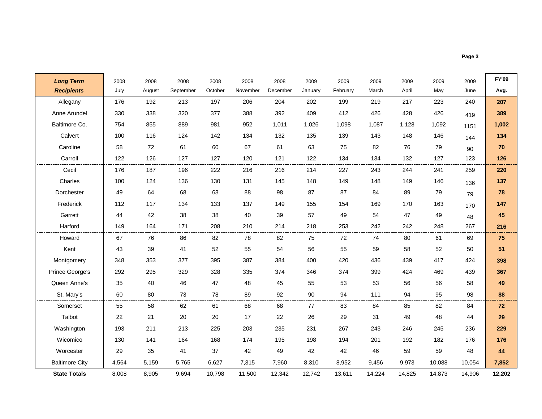**Page 3**

- r

| <b>Long Term</b>      | 2008  | 2008   | 2008      | 2008    | 2008     | 2008     | 2009    | 2009     | 2009   | 2009   | 2009   | 2009   | <b>FY'09</b> |
|-----------------------|-------|--------|-----------|---------|----------|----------|---------|----------|--------|--------|--------|--------|--------------|
| <b>Recipients</b>     | July  | August | September | October | November | December | January | February | March  | April  | May    | June   | Avg.         |
| Allegany              | 176   | 192    | 213       | 197     | 206      | 204      | 202     | 199      | 219    | 217    | 223    | 240    | 207          |
| Anne Arundel          | 330   | 338    | 320       | 377     | 388      | 392      | 409     | 412      | 426    | 428    | 426    | 419    | 389          |
| Baltimore Co.         | 754   | 855    | 889       | 981     | 952      | 1,011    | 1,026   | 1,098    | 1,087  | 1,128  | 1,092  | 1151   | 1,002        |
| Calvert               | 100   | 116    | 124       | 142     | 134      | 132      | 135     | 139      | 143    | 148    | 146    | 144    | 134          |
| Caroline              | 58    | 72     | 61        | 60      | 67       | 61       | 63      | 75       | 82     | 76     | 79     | 90     | 70           |
| Carroll               | 122   | 126    | 127       | 127     | 120      | 121      | 122     | 134      | 134    | 132    | 127    | 123    | 126          |
| Cecil                 | 176   | 187    | 196       | 222     | 216      | 216      | 214     | 227      | 243    | 244    | 241    | 259    | 220          |
| Charles               | 100   | 124    | 136       | 130     | 131      | 145      | 148     | 149      | 148    | 149    | 146    | 136    | 137          |
| Dorchester            | 49    | 64     | 68        | 63      | 88       | 98       | 87      | 87       | 84     | 89     | 79     | 79     | 78           |
| Frederick             | 112   | 117    | 134       | 133     | 137      | 149      | 155     | 154      | 169    | 170    | 163    | 170    | 147          |
| Garrett               | 44    | 42     | 38        | 38      | 40       | 39       | 57      | 49       | 54     | 47     | 49     | 48     | 45           |
| Harford               | 149   | 164    | 171       | 208     | 210      | 214      | 218     | 253      | 242    | 242    | 248    | 267    | 216          |
| Howard                | 67    | 76     | 86        | 82      | 78       | 82       | 75      | 72       | 74     | 80     | 61     | 69     | 75           |
| Kent                  | 43    | 39     | 41        | 52      | 55       | 54       | 56      | 55       | 59     | 58     | 52     | 50     | 51           |
| Montgomery            | 348   | 353    | 377       | 395     | 387      | 384      | 400     | 420      | 436    | 439    | 417    | 424    | 398          |
| Prince George's       | 292   | 295    | 329       | 328     | 335      | 374      | 346     | 374      | 399    | 424    | 469    | 439    | 367          |
| Queen Anne's          | 35    | 40     | 46        | 47      | 48       | 45       | 55      | 53       | 53     | 56     | 56     | 58     | 49           |
| St. Mary's            | 60    | 80     | 73        | 78      | 89       | 92       | 90      | 94       | 111    | 94     | 95     | 98     | 88           |
| Somerset              | 55    | 58     | 62        | 61      | 68       | 68       | 77      | 83       | 84     | 85     | 82     | 84     | 72           |
| Talbot                | 22    | 21     | 20        | 20      | 17       | 22       | 26      | 29       | 31     | 49     | 48     | 44     | 29           |
| Washington            | 193   | 211    | 213       | 225     | 203      | 235      | 231     | 267      | 243    | 246    | 245    | 236    | 229          |
| Wicomico              | 130   | 141    | 164       | 168     | 174      | 195      | 198     | 194      | 201    | 192    | 182    | 176    | 176          |
| Worcester             | 29    | 35     | 41        | 37      | 42       | 49       | 42      | 42       | 46     | 59     | 59     | 48     | 44           |
| <b>Baltimore City</b> | 4,564 | 5,159  | 5,765     | 6,627   | 7,315    | 7.960    | 8,310   | 8,952    | 9,456  | 9,973  | 10.088 | 10,054 | 7,852        |
| <b>State Totals</b>   | 8,008 | 8,905  | 9,694     | 10,798  | 11,500   | 12,342   | 12,742  | 13,611   | 14,224 | 14,825 | 14,873 | 14,906 | 12,202       |

٠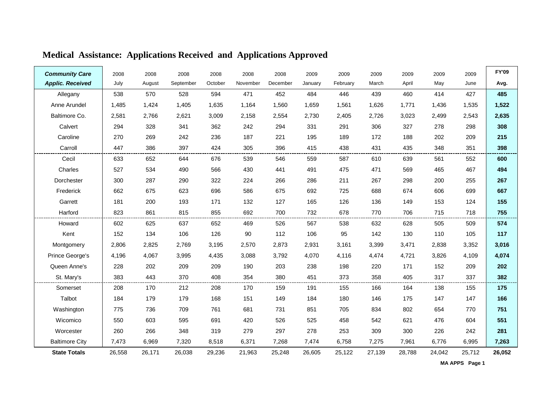| <b>Community Care</b>   | 2008   | 2008   | 2008      | 2008    | 2008     | 2008     | 2009    | 2009     | 2009   | 2009   | 2009   | 2009   | <b>FY'09</b> |
|-------------------------|--------|--------|-----------|---------|----------|----------|---------|----------|--------|--------|--------|--------|--------------|
| <b>Applic. Received</b> | July   | August | September | October | November | December | January | February | March  | April  | May    | June   | Avg.         |
| Allegany                | 538    | 570    | 528       | 594     | 471      | 452      | 484     | 446      | 439    | 460    | 414    | 427    | 485          |
| Anne Arundel            | 1,485  | 1,424  | 1,405     | 1,635   | 1,164    | 1,560    | 1,659   | 1,561    | 1,626  | 1,771  | 1,436  | 1,535  | 1,522        |
| Baltimore Co.           | 2,581  | 2,766  | 2,621     | 3,009   | 2,158    | 2,554    | 2,730   | 2,405    | 2,726  | 3,023  | 2,499  | 2,543  | 2,635        |
| Calvert                 | 294    | 328    | 341       | 362     | 242      | 294      | 331     | 291      | 306    | 327    | 278    | 298    | 308          |
| Caroline                | 270    | 269    | 242       | 236     | 187      | 221      | 195     | 189      | 172    | 188    | 202    | 209    | 215          |
| Carroll                 | 447    | 386    | 397       | 424     | 305      | 396      | 415     | 438      | 431    | 435    | 348    | 351    | 398          |
| Cecil                   | 633    | 652    | 644       | 676     | 539      | 546      | 559     | 587      | 610    | 639    | 561    | 552    | 600          |
| Charles                 | 527    | 534    | 490       | 566     | 430      | 441      | 491     | 475      | 471    | 569    | 465    | 467    | 494          |
| Dorchester              | 300    | 287    | 290       | 322     | 224      | 266      | 286     | 211      | 267    | 298    | 200    | 255    | 267          |
| Frederick               | 662    | 675    | 623       | 696     | 586      | 675      | 692     | 725      | 688    | 674    | 606    | 699    | 667          |
| Garrett                 | 181    | 200    | 193       | 171     | 132      | 127      | 165     | 126      | 136    | 149    | 153    | 124    | 155          |
| Harford                 | 823    | 861    | 815       | 855     | 692      | 700      | 732     | 678      | 770    | 706    | 715    | 718    | 755          |
| Howard                  | 602    | 625    | 637       | 652     | 469      | 526      | 567     | 538      | 632    | 628    | 505    | 509    | 574          |
| Kent                    | 152    | 134    | 106       | 126     | 90       | 112      | 106     | 95       | 142    | 130    | 110    | 105    | 117          |
| Montgomery              | 2,806  | 2,825  | 2,769     | 3,195   | 2,570    | 2,873    | 2,931   | 3,161    | 3,399  | 3,471  | 2,838  | 3,352  | 3,016        |
| Prince George's         | 4,196  | 4,067  | 3,995     | 4,435   | 3,088    | 3,792    | 4,070   | 4,116    | 4,474  | 4,721  | 3,826  | 4,109  | 4,074        |
| Queen Anne's            | 228    | 202    | 209       | 209     | 190      | 203      | 238     | 198      | 220    | 171    | 152    | 209    | 202          |
| St. Mary's              | 383    | 443    | 370       | 408     | 354      | 380      | 451     | 373      | 358    | 405    | 317    | 337    | 382          |
| Somerset                | 208    | 170    | 212       | 208     | 170      | 159      | 191     | 155      | 166    | 164    | 138    | 155    | 175          |
| Talbot                  | 184    | 179    | 179       | 168     | 151      | 149      | 184     | 180      | 146    | 175    | 147    | 147    | 166          |
| Washington              | 775    | 736    | 709       | 761     | 681      | 731      | 851     | 705      | 834    | 802    | 654    | 770    | 751          |
| Wicomico                | 550    | 603    | 595       | 691     | 420      | 526      | 525     | 458      | 542    | 621    | 476    | 604    | 551          |
| Worcester               | 260    | 266    | 348       | 319     | 279      | 297      | 278     | 253      | 309    | 300    | 226    | 242    | 281          |
| <b>Baltimore City</b>   | 7,473  | 6,969  | 7,320     | 8,518   | 6,371    | 7,268    | 7,474   | 6,758    | 7,275  | 7,961  | 6,776  | 6,995  | 7,263        |
| <b>State Totals</b>     | 26,558 | 26.171 | 26,038    | 29,236  | 21,963   | 25,248   | 26,605  | 25,122   | 27,139 | 28,788 | 24,042 | 25,712 | 26,052       |

# **Medical Assistance: Applications Received and Applications Approved**

**F** 

**MA APPS Page 1**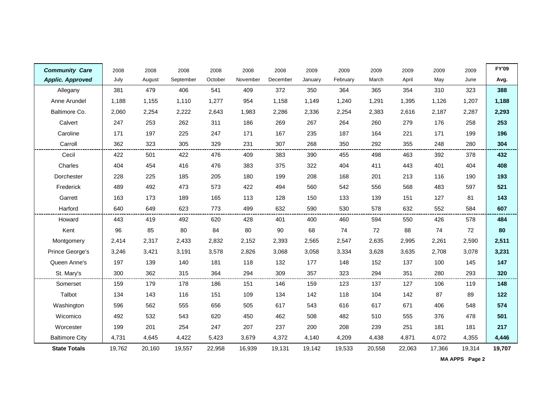| <b>Community Care</b>   | 2008   | 2008   | 2008      | 2008    | 2008     | 2008     | 2009    | 2009     | 2009   | 2009   | 2009   | 2009   | <b>FY'09</b> |
|-------------------------|--------|--------|-----------|---------|----------|----------|---------|----------|--------|--------|--------|--------|--------------|
| <b>Applic. Approved</b> | July   | August | September | October | November | December | January | February | March  | April  | May    | June   | Avg.         |
| Allegany                | 381    | 479    | 406       | 541     | 409      | 372      | 350     | 364      | 365    | 354    | 310    | 323    | 388          |
| Anne Arundel            | 1,188  | 1,155  | 1,110     | 1,277   | 954      | 1,158    | 1,149   | 1,240    | 1,291  | 1,395  | 1,126  | 1,207  | 1,188        |
| Baltimore Co.           | 2,060  | 2,254  | 2,222     | 2,643   | 1,983    | 2,286    | 2,336   | 2,254    | 2,383  | 2,616  | 2,187  | 2,287  | 2,293        |
| Calvert                 | 247    | 253    | 262       | 311     | 186      | 269      | 267     | 264      | 260    | 279    | 176    | 258    | 253          |
| Caroline                | 171    | 197    | 225       | 247     | 171      | 167      | 235     | 187      | 164    | 221    | 171    | 199    | 196          |
| Carroll                 | 362    | 323    | 305       | 329     | 231      | 307      | 268     | 350      | 292    | 355    | 248    | 280    | 304          |
| Cecil                   | 422    | 501    | 422       | 476     | 409      | 383      | 390     | 455      | 498    | 463    | 392    | 378    | 432          |
| Charles                 | 404    | 454    | 416       | 476     | 383      | 375      | 322     | 404      | 411    | 443    | 401    | 404    | 408          |
| Dorchester              | 228    | 225    | 185       | 205     | 180      | 199      | 208     | 168      | 201    | 213    | 116    | 190    | 193          |
| Frederick               | 489    | 492    | 473       | 573     | 422      | 494      | 560     | 542      | 556    | 568    | 483    | 597    | 521          |
| Garrett                 | 163    | 173    | 189       | 165     | 113      | 128      | 150     | 133      | 139    | 151    | 127    | 81     | 143          |
| Harford                 | 640    | 649    | 623       | 773     | 499      | 632      | 590     | 530      | 578    | 632    | 552    | 584    | 607          |
| Howard                  | 443    | 419    | 492       | 620     | 428      | 401      | 400     | 460      | 594    | 550    | 426    | 578    | 484          |
| Kent                    | 96     | 85     | 80        | 84      | 80       | 90       | 68      | 74       | 72     | 88     | 74     | 72     | 80           |
| Montgomery              | 2,414  | 2,317  | 2,433     | 2,832   | 2,152    | 2,393    | 2,565   | 2,547    | 2,635  | 2,995  | 2,261  | 2,590  | 2,511        |
| Prince George's         | 3,246  | 3,421  | 3,191     | 3,578   | 2,826    | 3,068    | 3,058   | 3,334    | 3,628  | 3,635  | 2,708  | 3,078  | 3,231        |
| Queen Anne's            | 197    | 139    | 140       | 181     | 118      | 132      | 177     | 148      | 152    | 137    | 100    | 145    | 147          |
| St. Mary's              | 300    | 362    | 315       | 364     | 294      | 309      | 357     | 323      | 294    | 351    | 280    | 293    | 320          |
| Somerset                | 159    | 179    | 178       | 186     | 151      | 146      | 159     | 123      | 137    | 127    | 106    | 119    | 148          |
| Talbot                  | 134    | 143    | 116       | 151     | 109      | 134      | 142     | 118      | 104    | 142    | 87     | 89     | 122          |
| Washington              | 596    | 562    | 555       | 656     | 505      | 617      | 543     | 616      | 617    | 671    | 406    | 548    | 574          |
| Wicomico                | 492    | 532    | 543       | 620     | 450      | 462      | 508     | 482      | 510    | 555    | 376    | 478    | 501          |
| Worcester               | 199    | 201    | 254       | 247     | 207      | 237      | 200     | 208      | 239    | 251    | 181    | 181    | 217          |
| <b>Baltimore City</b>   | 4,731  | 4,645  | 4,422     | 5,423   | 3,679    | 4,372    | 4,140   | 4,209    | 4,438  | 4,871  | 4,072  | 4,355  | 4,446        |
| <b>State Totals</b>     | 19,762 | 20,160 | 19,557    | 22,958  | 16,939   | 19,131   | 19,142  | 19,533   | 20,558 | 22,063 | 17,366 | 19,314 | 19,707       |

**MA APPS Page 2**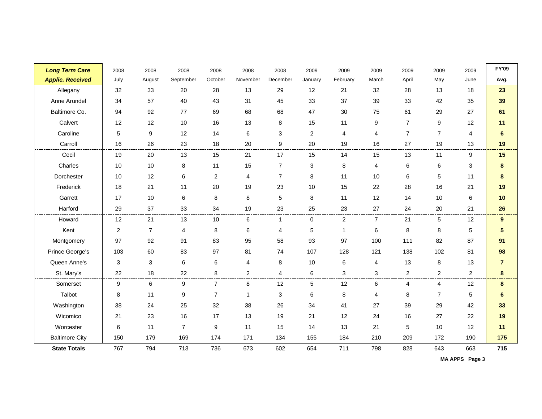| <b>Long Term Care</b>   | 2008           | 2008           | 2008           | 2008           | 2008           | 2008                      | 2009           | 2009           | 2009           | 2009           | 2009           | 2009           | <b>FY'09</b>   |
|-------------------------|----------------|----------------|----------------|----------------|----------------|---------------------------|----------------|----------------|----------------|----------------|----------------|----------------|----------------|
| <b>Applic. Received</b> | July           | August         | September      | October        | November       | December                  | January        | February       | March          | April          | May            | June           | Avg.           |
| Allegany                | 32             | 33             | 20             | 28             | 13             | 29                        | 12             | 21             | 32             | 28             | 13             | 18             | 23             |
| Anne Arundel            | 34             | 57             | 40             | 43             | 31             | 45                        | 33             | 37             | 39             | 33             | 42             | 35             | 39             |
| Baltimore Co.           | 94             | 92             | 77             | 69             | 68             | 68                        | 47             | 30             | 75             | 61             | 29             | 27             | 61             |
| Calvert                 | 12             | 12             | 10             | 16             | 13             | 8                         | 15             | 11             | 9              | $\overline{7}$ | 9              | 12             | 11             |
| Caroline                | 5              | 9              | 12             | 14             | 6              | $\ensuremath{\mathsf{3}}$ | $\overline{2}$ | $\overline{4}$ | 4              | $\overline{7}$ | $\overline{7}$ | $\overline{4}$ | $\bf 6$        |
| Carroll                 | 16             | 26             | 23             | 18             | 20             | 9                         | 20             | 19             | 16             | 27             | 19             | 13             | 19             |
| Cecil                   | 19             | 20             | 13             | 15             | 21             | 17                        | 15             | 14             | 15             | 13             | 11             | 9              | 15             |
| Charles                 | 10             | 10             | 8              | 11             | 15             | $\overline{7}$            | 3              | 8              | 4              | $\,6$          | $\,6\,$        | $\mathbf{3}$   | $\bf 8$        |
| Dorchester              | 10             | 12             | 6              | $\overline{c}$ | 4              | $\overline{7}$            | 8              | 11             | 10             | 6              | 5              | 11             | $\pmb{8}$      |
| Frederick               | 18             | 21             | 11             | 20             | 19             | 23                        | 10             | 15             | 22             | 28             | 16             | 21             | 19             |
| Garrett                 | 17             | 10             | 6              | 8              | 8              | 5                         | 8              | 11             | 12             | 14             | 10             | 6              | 10             |
| Harford                 | 29             | 37             | 33             | 34             | 19             | 23                        | 25             | 23             | 27             | 24             | 20             | 21             | 26             |
| Howard                  | 12             | 21             | 13             | 10             | 6              | $\mathbf{1}$              | $\mathbf 0$    | $\overline{2}$ | $\overline{7}$ | 21             | 5              | 12             | 9              |
| Kent                    | $\overline{c}$ | $\overline{7}$ | 4              | 8              | 6              | 4                         | 5              | -1             | 6              | 8              | 8              | $\sqrt{5}$     | $\sqrt{5}$     |
| Montgomery              | 97             | 92             | 91             | 83             | 95             | 58                        | 93             | 97             | 100            | 111            | 82             | 87             | 91             |
| Prince George's         | 103            | 60             | 83             | 97             | 81             | 74                        | 107            | 128            | 121            | 138            | 102            | 81             | 98             |
| Queen Anne's            | 3              | 3              | $\,6\,$        | 6              | 4              | 8                         | 10             | 6              | 4              | 13             | 8              | 13             | $\overline{7}$ |
| St. Mary's              | 22             | 18             | 22             | 8              | $\overline{c}$ | $\overline{4}$            | 6              | 3              | 3              | 2              | $\overline{c}$ | $\overline{2}$ | 8              |
| Somerset                | 9              | 6              | 9              | $\overline{7}$ | 8              | 12                        | 5              | 12             | 6              | 4              | 4              | 12             | 8              |
| Talbot                  | 8              | 11             | 9              | $\overline{7}$ | 1              | 3                         | 6              | 8              | 4              | 8              | $\overline{7}$ | 5              | 6              |
| Washington              | 38             | 24             | 25             | 32             | 38             | 26                        | 34             | 41             | 27             | 39             | 29             | 42             | 33             |
| Wicomico                | 21             | 23             | 16             | 17             | 13             | 19                        | 21             | 12             | 24             | 16             | 27             | 22             | 19             |
| Worcester               | 6              | 11             | $\overline{7}$ | 9              | 11             | 15                        | 14             | 13             | 21             | 5              | 10             | 12             | 11             |
| <b>Baltimore City</b>   | 150            | 179            | 169            | 174            | 171            | 134                       | 155            | 184            | 210            | 209            | 172            | 190            | 175            |
| <b>State Totals</b>     | 767            | 794            | 713            | 736            | 673            | 602                       | 654            | 711            | 798            | 828            | 643            | 663            | 715            |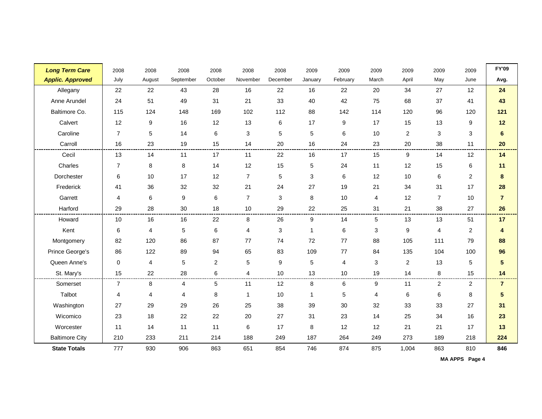| <b>Long Term Care</b>   | 2008           | 2008   | 2008      | 2008           | 2008           | 2008     | 2009    | 2009     | 2009                      | 2009             | 2009                    | 2009           | <b>FY'09</b>            |
|-------------------------|----------------|--------|-----------|----------------|----------------|----------|---------|----------|---------------------------|------------------|-------------------------|----------------|-------------------------|
| <b>Applic. Approved</b> | July           | August | September | October        | November       | December | January | February | March                     | April            | May                     | June           | Avg.                    |
| Allegany                | 22             | 22     | 43        | 28             | 16             | 22       | 16      | 22       | 20                        | 34               | 27                      | 12             | 24                      |
| Anne Arundel            | 24             | 51     | 49        | 31             | 21             | 33       | 40      | 42       | 75                        | 68               | 37                      | 41             | 43                      |
| Baltimore Co.           | 115            | 124    | 148       | 169            | 102            | 112      | 88      | 142      | 114                       | 120              | 96                      | 120            | 121                     |
| Calvert                 | 12             | 9      | 16        | 12             | 13             | 6        | 17      | 9        | 17                        | 15               | 13                      | 9              | 12                      |
| Caroline                | $\overline{7}$ | 5      | 14        | 6              | 3              | 5        | 5       | 6        | 10                        | $\boldsymbol{2}$ | 3                       | 3              | $\bf 6$                 |
| Carroll                 | 16             | 23     | 19        | 15             | 14             | 20       | 16      | 24       | 23                        | 20               | 38                      | 11             | 20                      |
| Cecil                   | 13             | 14     | 11        | 17             | 11             | 22       | 16      | 17       | 15                        | 9                | 14                      | 12             | 14                      |
| Charles                 | $\overline{7}$ | 8      | 8         | 14             | 12             | 15       | 5       | 24       | 11                        | 12               | 15                      | 6              | 11                      |
| Dorchester              | 6              | 10     | 17        | 12             | $\overline{7}$ | 5        | 3       | 6        | 12                        | 10               | 6                       | $\overline{c}$ | $\bf 8$                 |
| Frederick               | 41             | 36     | 32        | 32             | 21             | 24       | 27      | 19       | 21                        | 34               | 31                      | 17             | 28                      |
| Garrett                 | 4              | 6      | 9         | 6              | $\overline{7}$ | 3        | 8       | $10$     | $\overline{4}$            | 12               | $\overline{7}$          | 10             | $\overline{7}$          |
| Harford                 | 29             | 28     | 30        | 18             | 10             | 29       | 22      | 25       | 31                        | 21               | 38                      | 27             | 26                      |
| Howard                  | 10             | 16     | 16        | 22             | 8              | 26       | 9       | 14       | 5                         | 13               | 13                      | 51             | 17                      |
| Kent                    | 6              | 4      | 5         | 6              | 4              | 3        | 1       | 6        | $\ensuremath{\mathsf{3}}$ | $\boldsymbol{9}$ | $\overline{\mathbf{4}}$ | $\overline{c}$ | $\overline{\mathbf{4}}$ |
| Montgomery              | 82             | 120    | 86        | 87             | 77             | 74       | 72      | 77       | 88                        | 105              | 111                     | 79             | 88                      |
| Prince George's         | 86             | 122    | 89        | 94             | 65             | 83       | 109     | 77       | 84                        | 135              | 104                     | 100            | 96                      |
| Queen Anne's            | $\Omega$       | 4      | 5         | $\overline{c}$ | 5              | 9        | 5       | 4        | $\mathbf{3}$              | $\overline{2}$   | 13                      | 5              | $\overline{\mathbf{5}}$ |
| St. Mary's              | 15             | 22     | 28        | 6              | 4              | 10       | 13      | $10$     | 19                        | 14               | 8                       | 15             | 14                      |
| Somerset                | $\overline{7}$ | 8      | 4         | 5              | 11             | 12       | 8       | 6        | 9                         | 11               | $\overline{2}$          | $\overline{2}$ | $\overline{7}$          |
| Talbot                  | 4              | 4      | 4         | 8              | $\mathbf{1}$   | 10       | 1       | 5        | 4                         | 6                | 6                       | 8              | $\sqrt{5}$              |
| Washington              | 27             | 29     | 29        | 26             | 25             | 38       | 39      | 30       | 32                        | 33               | 33                      | 27             | 31                      |
| Wicomico                | 23             | 18     | 22        | 22             | 20             | 27       | 31      | 23       | 14                        | 25               | 34                      | 16             | 23                      |
| Worcester               | 11             | 14     | 11        | 11             | 6              | 17       | 8       | 12       | 12                        | 21               | 21                      | 17             | 13                      |
| <b>Baltimore City</b>   | 210            | 233    | 211       | 214            | 188            | 249      | 187     | 264      | 249                       | 273              | 189                     | 218            | 224                     |
| <b>State Totals</b>     | 777            | 930    | 906       | 863            | 651            | 854      | 746     | 874      | 875                       | 1,004            | 863                     | 810            | 846                     |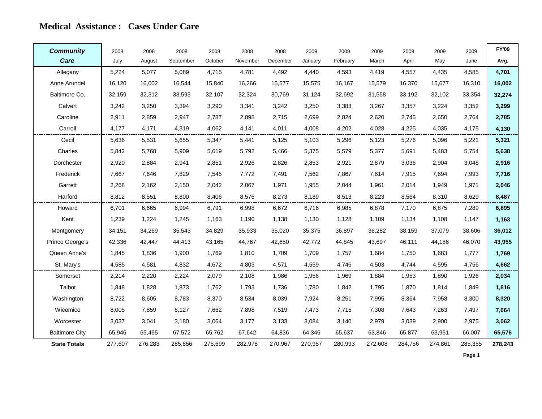#### **Medical Assistance : Cases Under Care**

| <b>Community</b>      | 2008    | 2008    | 2008      | 2008    | 2008     | 2008     | 2009    | 2009     | 2009    | 2009    | 2009    | 2009    | <b>FY'09</b> |
|-----------------------|---------|---------|-----------|---------|----------|----------|---------|----------|---------|---------|---------|---------|--------------|
| Care                  | July    | August  | September | October | November | December | January | February | March   | April   | May     | June    | Avg.         |
| Allegany              | 5,224   | 5,077   | 5,089     | 4,715   | 4,781    | 4,492    | 4,440   | 4,593    | 4,419   | 4,557   | 4,435   | 4,585   | 4,701        |
| Anne Arundel          | 16,120  | 16.002  | 16,544    | 15,840  | 16,266   | 15,577   | 15,575  | 16,167   | 15,579  | 16,370  | 15,677  | 16,310  | 16,002       |
| Baltimore Co.         | 32,159  | 32,312  | 33,593    | 32,107  | 32,324   | 30,769   | 31,124  | 32,692   | 31,558  | 33,192  | 32,102  | 33,354  | 32,274       |
| Calvert               | 3,242   | 3,250   | 3,394     | 3,290   | 3,341    | 3,242    | 3,250   | 3,383    | 3,267   | 3,357   | 3,224   | 3,352   | 3,299        |
| Caroline              | 2,911   | 2,859   | 2,947     | 2,787   | 2,898    | 2,715    | 2,699   | 2,824    | 2,620   | 2,745   | 2,650   | 2,764   | 2,785        |
| Carroll               | 4,177   | 4,171   | 4,319     | 4,062   | 4,141    | 4,011    | 4,008   | 4,202    | 4,028   | 4,225   | 4,035   | 4,175   | 4,130        |
| Cecil                 | 5,636   | 5,531   | 5,655     | 5,347   | 5,441    | 5,125    | 5,103   | 5,296    | 5,123   | 5,276   | 5,096   | 5,221   | 5,321        |
| Charles               | 5,842   | 5,768   | 5,909     | 5,619   | 5,792    | 5,466    | 5,375   | 5,579    | 5,377   | 5,691   | 5,483   | 5,754   | 5,638        |
| Dorchester            | 2,920   | 2,884   | 2,941     | 2,851   | 2,926    | 2,826    | 2,853   | 2,921    | 2,879   | 3,036   | 2,904   | 3,048   | 2,916        |
| Frederick             | 7,667   | 7,646   | 7,829     | 7,545   | 7,772    | 7,491    | 7,562   | 7,867    | 7,614   | 7,915   | 7,694   | 7,993   | 7,716        |
| Garrett               | 2,268   | 2,162   | 2,150     | 2,042   | 2,067    | 1,971    | 1,955   | 2,044    | 1,961   | 2,014   | 1,949   | 1,971   | 2,046        |
| Harford               | 8,812   | 8,551   | 8,800     | 8,406   | 8,576    | 8,273    | 8,189   | 8,513    | 8,223   | 8,564   | 8,310   | 8,629   | 8,487        |
| Howard                | 6,701   | 6,665   | 6,994     | 6.791   | 6,998    | 6,672    | 6,716   | 6,985    | 6,878   | 7,170   | 6,875   | 7,289   | 6,895        |
| Kent                  | 1,239   | 1,224   | 1,245     | 1,163   | 1,190    | 1,138    | 1,130   | 1,128    | 1,109   | 1,134   | 1,108   | 1,147   | 1,163        |
| Montgomery            | 34,151  | 34,269  | 35,543    | 34,829  | 35,933   | 35,020   | 35,375  | 36,897   | 36,282  | 38,159  | 37,079  | 38,606  | 36,012       |
| Prince George's       | 42,336  | 42,447  | 44,413    | 43,165  | 44,767   | 42,650   | 42,772  | 44,845   | 43,697  | 46,111  | 44,186  | 46,070  | 43,955       |
| Queen Anne's          | 1,845   | 1,836   | 1,900     | 1,769   | 1,810    | 1,709    | 1,709   | 1,757    | 1,684   | 1,750   | 1,683   | 1,777   | 1,769        |
| St. Mary's            | 4,585   | 4,581   | 4,832     | 4,672   | 4,803    | 4,571    | 4,559   | 4,746    | 4,503   | 4,744   | 4,595   | 4,756   | 4,662        |
| Somerset              | 2,214   | 2,220   | 2,224     | 2,079   | 2,108    | 1,986    | 1,956   | 1,969    | 1,884   | 1,953   | 1,890   | 1,926   | 2,034        |
| Talbot                | 1,848   | 1,828   | 1,873     | 1,762   | 1,793    | 1,736    | 1,780   | 1,842    | 1,795   | 1,870   | 1,814   | 1,849   | 1,816        |
| Washington            | 8,722   | 8,605   | 8,783     | 8,370   | 8,534    | 8,039    | 7,924   | 8,251    | 7,995   | 8,364   | 7,958   | 8,300   | 8,320        |
| Wicomico              | 8,005   | 7,859   | 8,127     | 7,662   | 7,898    | 7,519    | 7,473   | 7,715    | 7,308   | 7,643   | 7,263   | 7,497   | 7,664        |
| Worcester             | 3,037   | 3,041   | 3,180     | 3,064   | 3,177    | 3,133    | 3,084   | 3,140    | 2,979   | 3,039   | 2,900   | 2,975   | 3,062        |
| <b>Baltimore City</b> | 65,946  | 65,495  | 67,572    | 65,762  | 67,642   | 64,836   | 64,346  | 65,637   | 63,846  | 65,877  | 63,951  | 66,007  | 65,576       |
| <b>State Totals</b>   | 277,607 | 276,283 | 285,856   | 275,699 | 282,978  | 270,967  | 270,957 | 280,993  | 272,608 | 284,756 | 274,861 | 285,355 | 278,243      |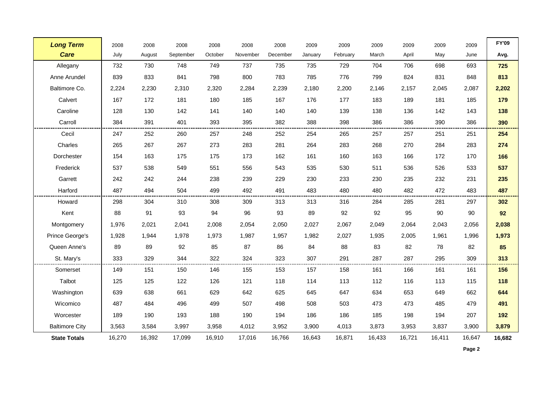| <b>Long Term</b>      | 2008   | 2008   | 2008      | 2008    | 2008     | 2008     | 2009    | 2009     | 2009   | 2009   | 2009   | 2009   | <b>FY'09</b> |
|-----------------------|--------|--------|-----------|---------|----------|----------|---------|----------|--------|--------|--------|--------|--------------|
| <b>Care</b>           | July   | August | September | October | November | December | January | February | March  | April  | May    | June   | Avg.         |
| Allegany              | 732    | 730    | 748       | 749     | 737      | 735      | 735     | 729      | 704    | 706    | 698    | 693    | 725          |
| Anne Arundel          | 839    | 833    | 841       | 798     | 800      | 783      | 785     | 776      | 799    | 824    | 831    | 848    | 813          |
| Baltimore Co.         | 2,224  | 2,230  | 2,310     | 2,320   | 2,284    | 2,239    | 2,180   | 2,200    | 2,146  | 2,157  | 2,045  | 2,087  | 2,202        |
| Calvert               | 167    | 172    | 181       | 180     | 185      | 167      | 176     | 177      | 183    | 189    | 181    | 185    | 179          |
| Caroline              | 128    | 130    | 142       | 141     | 140      | 140      | 140     | 139      | 138    | 136    | 142    | 143    | 138          |
| Carroll               | 384    | 391    | 401       | 393     | 395      | 382      | 388     | 398      | 386    | 386    | 390    | 386    | 390          |
| Cecil                 | 247    | 252    | 260       | 257     | 248      | 252      | 254     | 265      | 257    | 257    | 251    | 251    | 254          |
| Charles               | 265    | 267    | 267       | 273     | 283      | 281      | 264     | 283      | 268    | 270    | 284    | 283    | 274          |
| Dorchester            | 154    | 163    | 175       | 175     | 173      | 162      | 161     | 160      | 163    | 166    | 172    | 170    | 166          |
| Frederick             | 537    | 538    | 549       | 551     | 556      | 543      | 535     | 530      | 511    | 536    | 526    | 533    | 537          |
| Garrett               | 242    | 242    | 244       | 238     | 239      | 229      | 230     | 233      | 230    | 235    | 232    | 231    | 235          |
| Harford               | 487    | 494    | 504       | 499     | 492      | 491      | 483     | 480      | 480    | 482    | 472    | 483    | 487          |
| Howard                | 298    | 304    | 310       | 308     | 309      | 313      | 313     | 316      | 284    | 285    | 281    | 297    | 302          |
| Kent                  | 88     | 91     | 93        | 94      | 96       | 93       | 89      | 92       | 92     | 95     | 90     | 90     | 92           |
| Montgomery            | 1,976  | 2,021  | 2,041     | 2,008   | 2,054    | 2,050    | 2,027   | 2,067    | 2,049  | 2,064  | 2,043  | 2,056  | 2,038        |
| Prince George's       | 1,928  | 1,944  | 1,978     | 1,973   | 1,987    | 1,957    | 1,982   | 2,027    | 1,935  | 2,005  | 1,961  | 1,996  | 1,973        |
| Queen Anne's          | 89     | 89     | 92        | 85      | 87       | 86       | 84      | 88       | 83     | 82     | 78     | 82     | 85           |
| St. Mary's            | 333    | 329    | 344       | 322     | 324      | 323      | 307     | 291      | 287    | 287    | 295    | 309    | 313          |
| Somerset              | 149    | 151    | 150       | 146     | 155      | 153      | 157     | 158      | 161    | 166    | 161    | 161    | 156          |
| Talbot                | 125    | 125    | 122       | 126     | 121      | 118      | 114     | 113      | 112    | 116    | 113    | 115    | 118          |
| Washington            | 639    | 638    | 661       | 629     | 642      | 625      | 645     | 647      | 634    | 653    | 649    | 662    | 644          |
| Wicomico              | 487    | 484    | 496       | 499     | 507      | 498      | 508     | 503      | 473    | 473    | 485    | 479    | 491          |
| Worcester             | 189    | 190    | 193       | 188     | 190      | 194      | 186     | 186      | 185    | 198    | 194    | 207    | 192          |
| <b>Baltimore City</b> | 3,563  | 3,584  | 3,997     | 3,958   | 4,012    | 3,952    | 3,900   | 4,013    | 3,873  | 3,953  | 3,837  | 3,900  | 3,879        |
| <b>State Totals</b>   | 16,270 | 16,392 | 17,099    | 16,910  | 17,016   | 16,766   | 16,643  | 16,871   | 16,433 | 16,721 | 16,411 | 16,647 | 16,682       |